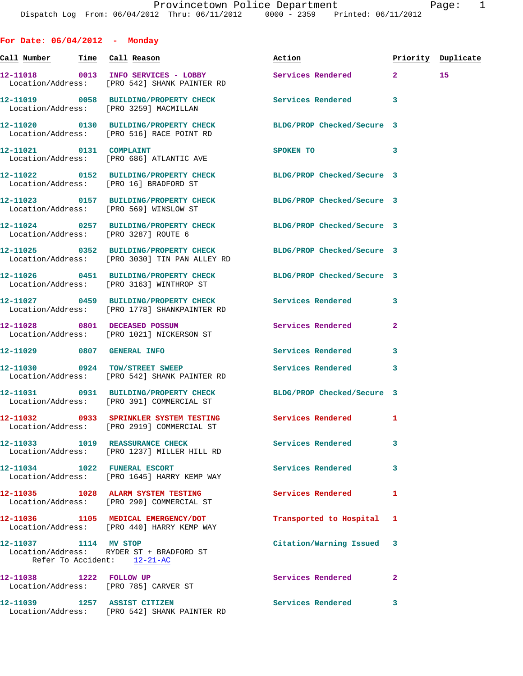**For Date: 06/04/2012 - Monday** Call Number Time Call Reason **Reason Action Action** Priority Duplicate **12-11018 0013 INFO SERVICES - LOBBY Services Rendered 2 15**  Location/Address: [PRO 542] SHANK PAINTER RD **12-11019 0058 BUILDING/PROPERTY CHECK Services Rendered 3**  Location/Address: [PRO 3259] MACMILLAN **12-11020 0130 BUILDING/PROPERTY CHECK BLDG/PROP Checked/Secure 3**  Location/Address: [PRO 516] RACE POINT RD **12-11021 0131 COMPLAINT SPOKEN TO 3**  Location/Address: [PRO 686] ATLANTIC AVE **12-11022 0152 BUILDING/PROPERTY CHECK BLDG/PROP Checked/Secure 3**  Location/Address: [PRO 16] BRADFORD ST **12-11023 0157 BUILDING/PROPERTY CHECK BLDG/PROP Checked/Secure 3**  Location/Address: [PRO 569] WINSLOW ST **12-11024 0257 BUILDING/PROPERTY CHECK BLDG/PROP Checked/Secure 3**  Location/Address: [PRO 3287] ROUTE 6 **12-11025 0352 BUILDING/PROPERTY CHECK BLDG/PROP Checked/Secure 3**  Location/Address: [PRO 3030] TIN PAN ALLEY RD **12-11026 0451 BUILDING/PROPERTY CHECK BLDG/PROP Checked/Secure 3**  Location/Address: [PRO 3163] WINTHROP ST **12-11027 0459 BUILDING/PROPERTY CHECK Services Rendered 3**  Location/Address: [PRO 1778] SHANKPAINTER RD **12-11028 0801 DECEASED POSSUM Services Rendered 2**  Location/Address: [PRO 1021] NICKERSON ST **12-11029 0807 GENERAL INFO Services Rendered 3 12-11030 0924 TOW/STREET SWEEP Services Rendered 3**  Location/Address: [PRO 542] SHANK PAINTER RD **12-11031 0931 BUILDING/PROPERTY CHECK BLDG/PROP Checked/Secure 3**  Location/Address: [PRO 391] COMMERCIAL ST **12-11032 0933 SPRINKLER SYSTEM TESTING Services Rendered 1**  Location/Address: [PRO 2919] COMMERCIAL ST **12-11033 1019 REASSURANCE CHECK Services Rendered 3**  Location/Address: [PRO 1237] MILLER HILL RD **12-11034 1022 FUNERAL ESCORT Services Rendered 3**  Location/Address: [PRO 1645] HARRY KEMP WAY **12-11035 1028 ALARM SYSTEM TESTING Services Rendered 1**  Location/Address: [PRO 290] COMMERCIAL ST **12-11036 1105 MEDICAL EMERGENCY/DOT Transported to Hospital 1**  Location/Address: [PRO 440] HARRY KEMP WAY **12-11037 1114 MV STOP Citation/Warning Issued 3**  Location/Address: RYDER ST + BRADFORD ST Refer To Accident: 12-21-AC

**12-11038 1222 FOLLOW UP Services Rendered 2**  Location/Address: [PRO 785] CARVER ST **12-11039 1257 ASSIST CITIZEN Services Rendered 3**  Location/Address: [PRO 542] SHANK PAINTER RD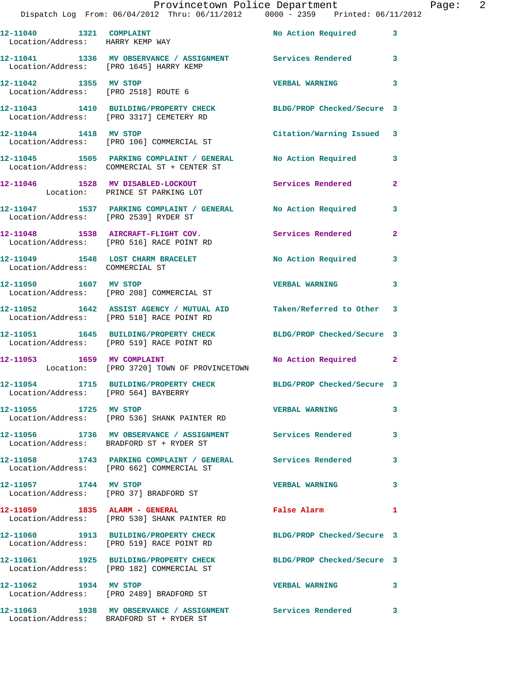| 12-11040   1321   COMPLAINT<br>Location/Address: HARRY KEMP WAY |                                                                                                          | No Action Required 3       |                         |
|-----------------------------------------------------------------|----------------------------------------------------------------------------------------------------------|----------------------------|-------------------------|
|                                                                 | 12-11041 1336 MV OBSERVANCE / ASSIGNMENT Services Rendered<br>Location/Address: [PRO 1645] HARRY KEMP    |                            | $\overline{\mathbf{3}}$ |
| 12-11042 1355 MV STOP                                           | Location/Address: [PRO 2518] ROUTE 6                                                                     | <b>VERBAL WARNING</b>      | 3                       |
|                                                                 | 12-11043 1410 BUILDING/PROPERTY CHECK<br>Location/Address: [PRO 3317] CEMETERY RD                        | BLDG/PROP Checked/Secure 3 |                         |
| 12-11044 1418 MV STOP                                           | Location/Address: [PRO 106] COMMERCIAL ST                                                                | Citation/Warning Issued 3  |                         |
|                                                                 | 12-11045 1505 PARKING COMPLAINT / GENERAL<br>Location/Address: COMMERCIAL ST + CENTER ST                 | No Action Required         | 3                       |
|                                                                 | 12-11046 1528 MV DISABLED-LOCKOUT<br>Location: PRINCE ST PARKING LOT                                     | Services Rendered          | $\mathbf{2}$            |
|                                                                 | 12-11047 1537 PARKING COMPLAINT / GENERAL No Action Required<br>Location/Address: [PRO 2539] RYDER ST    |                            | 3                       |
|                                                                 | 12-11048 1538 AIRCRAFT-FLIGHT COV.<br>Location/Address: [PRO 516] RACE POINT RD                          | Services Rendered          | $\mathbf{2}$            |
| Location/Address: COMMERCIAL ST                                 | 12-11049 1548 LOST CHARM BRACELET                                                                        | No Action Required         | 3                       |
| 12-11050 1607 MV STOP                                           | Location/Address: [PRO 208] COMMERCIAL ST                                                                | <b>VERBAL WARNING</b>      | 3                       |
|                                                                 | 12-11052 1642 ASSIST AGENCY / MUTUAL AID<br>Location/Address: [PRO 518] RACE POINT RD                    | Taken/Referred to Other 3  |                         |
|                                                                 | 12-11051 1645 BUILDING/PROPERTY CHECK<br>Location/Address: [PRO 519] RACE POINT RD                       | BLDG/PROP Checked/Secure 3 |                         |
|                                                                 | 12-11053 1659 MV COMPLAINT<br>Location: [PRO 3720] TOWN OF PROVINCETOWN                                  | No Action Required 2       |                         |
| Location/Address: [PRO 564] BAYBERRY                            | 12-11054 1715 BUILDING/PROPERTY CHECK BLDG/PROP Checked/Secure 3                                         |                            |                         |
| 12-11055 1725 MV STOP                                           | Location/Address: [PRO 536] SHANK PAINTER RD                                                             | <b>VERBAL WARNING</b>      | 3                       |
|                                                                 | 12-11056 1736 MV OBSERVANCE / ASSIGNMENT Services Rendered<br>Location/Address: BRADFORD ST + RYDER ST   |                            | 3                       |
|                                                                 | 12-11058 1743 PARKING COMPLAINT / GENERAL Services Rendered<br>Location/Address: [PRO 662] COMMERCIAL ST |                            | 3                       |
|                                                                 | Location/Address: [PRO 37] BRADFORD ST                                                                   | <b>VERBAL WARNING</b>      | 3                       |
| 12-11059 1835 ALARM - GENERAL                                   | Location/Address: [PRO 530] SHANK PAINTER RD                                                             | False Alarm                | 1                       |
|                                                                 | 12-11060 1913 BUILDING/PROPERTY CHECK<br>Location/Address: [PRO 519] RACE POINT RD                       | BLDG/PROP Checked/Secure 3 |                         |
|                                                                 | 12-11061 1925 BUILDING/PROPERTY CHECK<br>Location/Address: [PRO 182] COMMERCIAL ST                       | BLDG/PROP Checked/Secure 3 |                         |
| 12-11062 1934 MV STOP                                           | Location/Address: [PRO 2489] BRADFORD ST                                                                 | <b>VERBAL WARNING</b>      | 3                       |
|                                                                 | 12-11063 1938 MV OBSERVANCE / ASSIGNMENT Services Rendered<br>Location/Address: BRADFORD ST + RYDER ST   |                            | 3                       |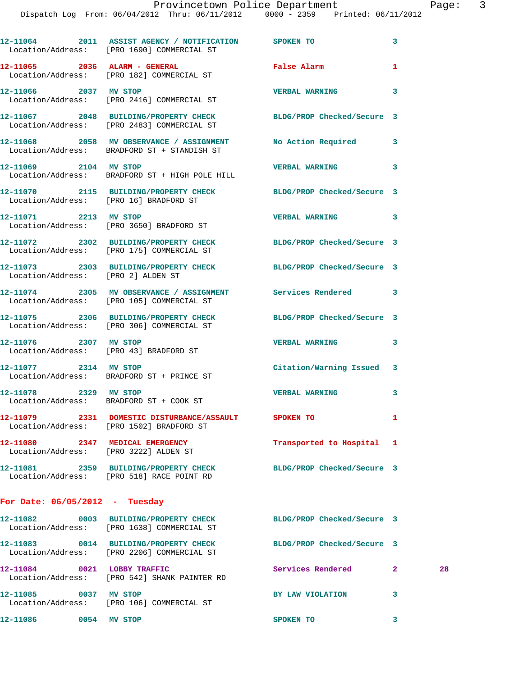|                                    | 12-11064 2011 ASSIST AGENCY / NOTIFICATION SPOKEN TO<br>Location/Address: [PRO 1690] COMMERCIAL ST             |                            | 3            |    |
|------------------------------------|----------------------------------------------------------------------------------------------------------------|----------------------------|--------------|----|
|                                    | 12-11065 2036 ALARM - GENERAL<br>Location/Address: [PRO 182] COMMERCIAL ST                                     | False Alarm                | 1            |    |
|                                    | 12-11066 2037 MV STOP<br>Location/Address: [PRO 2416] COMMERCIAL ST                                            | <b>VERBAL WARNING</b>      | 3            |    |
|                                    | 12-11067 2048 BUILDING/PROPERTY CHECK BLDG/PROP Checked/Secure 3<br>Location/Address: [PRO 2483] COMMERCIAL ST |                            |              |    |
|                                    | 12-11068 2058 MV OBSERVANCE / ASSIGNMENT No Action Required<br>Location/Address: BRADFORD ST + STANDISH ST     |                            | 3            |    |
| 12-11069 2104 MV STOP              | Location/Address: BRADFORD ST + HIGH POLE HILL                                                                 | <b>VERBAL WARNING</b>      | 3            |    |
|                                    | 12-11070 2115 BUILDING/PROPERTY CHECK BLDG/PROP Checked/Secure 3<br>Location/Address: [PRO 16] BRADFORD ST     |                            |              |    |
|                                    | 12-11071 2213 MV STOP<br>Location/Address: [PRO 3650] BRADFORD ST                                              | <b>VERBAL WARNING</b>      | 3            |    |
|                                    | 12-11072 2302 BUILDING/PROPERTY CHECK BLDG/PROP Checked/Secure 3<br>Location/Address: [PRO 175] COMMERCIAL ST  |                            |              |    |
| Location/Address: [PRO 2] ALDEN ST | 12-11073 2303 BUILDING/PROPERTY CHECK BLDG/PROP Checked/Secure 3                                               |                            |              |    |
|                                    | 12-11074 2305 MV OBSERVANCE / ASSIGNMENT Services Rendered 3<br>Location/Address: [PRO 105] COMMERCIAL ST      |                            |              |    |
|                                    | 12-11075 2306 BUILDING/PROPERTY CHECK BLDG/PROP Checked/Secure 3<br>Location/Address: [PRO 306] COMMERCIAL ST  |                            |              |    |
| 12-11076 2307 MV STOP              | Location/Address: [PRO 43] BRADFORD ST                                                                         | <b>VERBAL WARNING</b>      | 3            |    |
|                                    | 12-11077 2314 MV STOP<br>Location/Address: BRADFORD ST + PRINCE ST                                             | Citation/Warning Issued 3  |              |    |
| 12-11078 2329 MV STOP              | Location/Address: BRADFORD ST + COOK ST                                                                        | <b>VERBAL WARNING</b>      | 3            |    |
|                                    | 12-11079 2331 DOMESTIC DISTURBANCE/ASSAULT SPOKEN TO<br>Location/Address: [PRO 1502] BRADFORD ST               |                            | 1            |    |
|                                    | 12-11080 2347 MEDICAL EMERGENCY<br>Location/Address: [PRO 3222] ALDEN ST                                       | Transported to Hospital 1  |              |    |
|                                    | 12-11081 2359 BUILDING/PROPERTY CHECK BLDG/PROP Checked/Secure 3<br>Location/Address: [PRO 518] RACE POINT RD  |                            |              |    |
| For Date: $06/05/2012$ - Tuesday   |                                                                                                                |                            |              |    |
|                                    | 12-11082 0003 BUILDING/PROPERTY CHECK<br>Location/Address: [PRO 1638] COMMERCIAL ST                            | BLDG/PROP Checked/Secure 3 |              |    |
|                                    | 12-11083 0014 BUILDING/PROPERTY CHECK BLDG/PROP Checked/Secure 3<br>Location/Address: [PRO 2206] COMMERCIAL ST |                            |              |    |
|                                    | 12-11084 0021 LOBBY TRAFFIC<br>Location/Address: [PRO 542] SHANK PAINTER RD                                    | Services Rendered          | $\mathbf{2}$ | 28 |
| 12-11085 0037 MV STOP              | Location/Address: [PRO 106] COMMERCIAL ST                                                                      | BY LAW VIOLATION           | 3            |    |
| 12-11086 0054 MV STOP              |                                                                                                                | SPOKEN TO                  | 3            |    |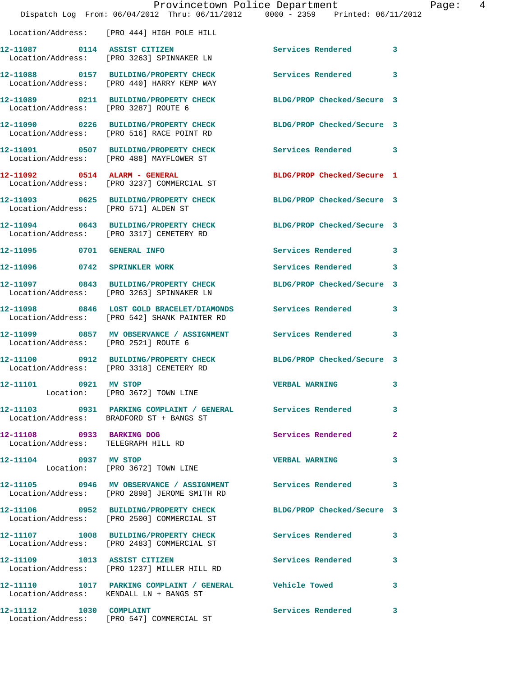|                                                                  | Provincetown Police Department<br>Dispatch Log From: 06/04/2012 Thru: 06/11/2012 0000 - 2359 Printed: 06/11/2012 |                            |   |
|------------------------------------------------------------------|------------------------------------------------------------------------------------------------------------------|----------------------------|---|
|                                                                  | Location/Address: [PRO 444] HIGH POLE HILL                                                                       |                            |   |
|                                                                  | 12-11087 0114 ASSIST CITIZEN<br>Location/Address: [PRO 3263] SPINNAKER LN                                        | <b>Services Rendered</b>   | 3 |
|                                                                  | 12-11088 0157 BUILDING/PROPERTY CHECK<br>Location/Address: [PRO 440] HARRY KEMP WAY                              | Services Rendered          | 3 |
| Location/Address: [PRO 3287] ROUTE 6                             | 12-11089 0211 BUILDING/PROPERTY CHECK                                                                            | BLDG/PROP Checked/Secure 3 |   |
|                                                                  | 12-11090 0226 BUILDING/PROPERTY CHECK<br>Location/Address: [PRO 516] RACE POINT RD                               | BLDG/PROP Checked/Secure 3 |   |
|                                                                  | 12-11091 0507 BUILDING/PROPERTY CHECK<br>Location/Address: [PRO 488] MAYFLOWER ST                                | <b>Services Rendered</b>   | 3 |
|                                                                  | 12-11092 0514 ALARM - GENERAL<br>Location/Address: [PRO 3237] COMMERCIAL ST                                      | BLDG/PROP Checked/Secure 1 |   |
| Location/Address: [PRO 571] ALDEN ST                             | 12-11093 0625 BUILDING/PROPERTY CHECK BLDG/PROP Checked/Secure 3                                                 |                            |   |
|                                                                  | 12-11094 0643 BUILDING/PROPERTY CHECK<br>Location/Address: [PRO 3317] CEMETERY RD                                | BLDG/PROP Checked/Secure 3 |   |
| 12-11095 0701 GENERAL INFO                                       |                                                                                                                  | Services Rendered          | 3 |
| 12-11096                                                         | 0742 SPRINKLER WORK                                                                                              | Services Rendered          | 3 |
|                                                                  | 12-11097 0843 BUILDING/PROPERTY CHECK<br>Location/Address: [PRO 3263] SPINNAKER LN                               | BLDG/PROP Checked/Secure 3 |   |
|                                                                  | 12-11098 0846 LOST GOLD BRACELET/DIAMONDS Services Rendered<br>Location/Address: [PRO 542] SHANK PAINTER RD      |                            | 3 |
| Location/Address: [PRO 2521] ROUTE 6                             | 12-11099 0857 MV OBSERVANCE / ASSIGNMENT Services Rendered                                                       |                            | 3 |
|                                                                  | 12-11100 0912 BUILDING/PROPERTY CHECK<br>Location/Address: [PRO 3318] CEMETERY RD                                | BLDG/PROP Checked/Secure 3 |   |
| 12-11101 0921 MV STOP                                            | Location: [PRO 3672] TOWN LINE                                                                                   | <b>VERBAL WARNING</b>      | 3 |
|                                                                  | 12-11103 0931 PARKING COMPLAINT / GENERAL Services Rendered<br>Location/Address: BRADFORD ST + BANGS ST          |                            | 3 |
| 12-11108 0933 BARKING DOG<br>Location/Address: TELEGRAPH HILL RD |                                                                                                                  | <b>Services Rendered</b>   | 2 |
| 12-11104 0937 MV STOP                                            | Location: [PRO 3672] TOWN LINE                                                                                   | <b>VERBAL WARNING</b>      | 3 |
|                                                                  | 12-11105 0946 MV OBSERVANCE / ASSIGNMENT Services Rendered<br>Location/Address: [PRO 2898] JEROME SMITH RD       |                            | 3 |
|                                                                  | 12-11106 0952 BUILDING/PROPERTY CHECK<br>Location/Address: [PRO 2500] COMMERCIAL ST                              | BLDG/PROP Checked/Secure 3 |   |
|                                                                  | 12-11107 1008 BUILDING/PROPERTY CHECK<br>Location/Address: [PRO 2483] COMMERCIAL ST                              | Services Rendered          | 3 |
|                                                                  | 12-11109 1013 ASSIST CITIZEN<br>Location/Address: [PRO 1237] MILLER HILL RD                                      | Services Rendered          | 3 |
|                                                                  | 12-11110 1017 PARKING COMPLAINT / GENERAL Vehicle Towed<br>Location/Address: KENDALL LN + BANGS ST               |                            | 3 |
| 12-11112 1030 COMPLAINT                                          | Location/Address: [PRO 547] COMMERCIAL ST                                                                        | Services Rendered          | 3 |

Page: 4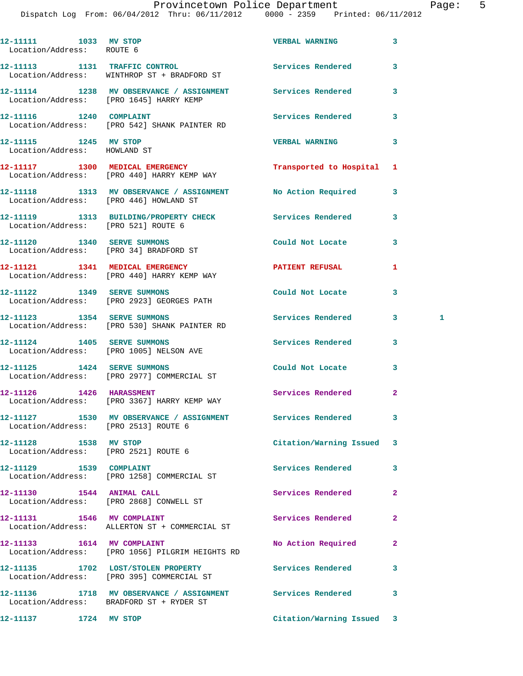## Provincetown Police Department Fage: 5

Dispatch Log From: 06/04/2012 Thru: 06/11/2012 0000 - 2359 Printed: 06/11/2012

| 12-11111 1033 MV STOP<br>Location/Address: ROUTE 6            |                                                                                                       | <b>VERBAL WARNING</b>     | 3            |              |
|---------------------------------------------------------------|-------------------------------------------------------------------------------------------------------|---------------------------|--------------|--------------|
|                                                               | 12-11113 1131 TRAFFIC CONTROL<br>Location/Address: WINTHROP ST + BRADFORD ST                          | <b>Services Rendered</b>  | 3            |              |
|                                                               | 12-11114 1238 MV OBSERVANCE / ASSIGNMENT Services Rendered<br>Location/Address: [PRO 1645] HARRY KEMP |                           | 3            |              |
| 12-11116 1240 COMPLAINT                                       | Location/Address: [PRO 542] SHANK PAINTER RD                                                          | Services Rendered         | 3            |              |
| 12-11115 1245 MV STOP<br>Location/Address: HOWLAND ST         |                                                                                                       | <b>VERBAL WARNING</b>     | 3            |              |
|                                                               | 12-11117 1300 MEDICAL EMERGENCY<br>Location/Address: [PRO 440] HARRY KEMP WAY                         | Transported to Hospital 1 |              |              |
|                                                               | 12-11118 1313 MV OBSERVANCE / ASSIGNMENT No Action Required<br>Location/Address: [PRO 446] HOWLAND ST |                           | 3            |              |
| Location/Address: [PRO 521] ROUTE 6                           | 12-11119 1313 BUILDING/PROPERTY CHECK Services Rendered                                               |                           | 3            |              |
| 12-11120   1340   SERVE SUMMONS                               | Location/Address: [PRO 34] BRADFORD ST                                                                | Could Not Locate          | 3            |              |
|                                                               | 12-11121 1341 MEDICAL EMERGENCY<br>Location/Address: [PRO 440] HARRY KEMP WAY                         | PATIENT REFUSAL           | 1            |              |
|                                                               | 12-11122 1349 SERVE SUMMONS<br>Location/Address: [PRO 2923] GEORGES PATH                              | Could Not Locate          | 3            |              |
|                                                               | 12-11123 1354 SERVE SUMMONS<br>Location/Address: [PRO 530] SHANK PAINTER RD                           | <b>Services Rendered</b>  | 3            | $\mathbf{1}$ |
|                                                               | 12-11124 1405 SERVE SUMMONS<br>Location/Address: [PRO 1005] NELSON AVE                                | Services Rendered         | 3            |              |
| 12-11125 1424 SERVE SUMMONS                                   | Location/Address: [PRO 2977] COMMERCIAL ST                                                            | Could Not Locate          | 3            |              |
|                                                               | 12-11126    1426    HARASSMENT<br>Location/Address: [PRO 3367] HARRY KEMP WAY                         | Services Rendered         | $\mathbf{2}$ |              |
| Location/Address: [PRO 2513] ROUTE 6                          | 12-11127 1530 MV OBSERVANCE / ASSIGNMENT Services Rendered                                            |                           | 3            |              |
| 12-11128 1538 MV STOP<br>Location/Address: [PRO 2521] ROUTE 6 |                                                                                                       | Citation/Warning Issued   | 3            |              |
|                                                               | Location/Address: [PRO 1258] COMMERCIAL ST                                                            | Services Rendered         | 3            |              |
| 12-11130   1544   ANIMAL CALL                                 | Location/Address: [PRO 2868] CONWELL ST                                                               | <b>Services Rendered</b>  | $\mathbf{2}$ |              |
| 12-11131 1546 MV COMPLAINT                                    | Location/Address: ALLERTON ST + COMMERCIAL ST                                                         | Services Rendered         | 2            |              |
| 12-11133 1614 MV COMPLAINT                                    | Location/Address: [PRO 1056] PILGRIM HEIGHTS RD                                                       | No Action Required        | $\mathbf{2}$ |              |
|                                                               | 12-11135 1702 LOST/STOLEN PROPERTY<br>Location/Address: [PRO 395] COMMERCIAL ST                       | Services Rendered         | 3            |              |

**12-11136 1718 MV OBSERVANCE / ASSIGNMENT Services Rendered 3**  Location/Address: BRADFORD ST + RYDER ST

**12-11137 1724 MV STOP Citation/Warning Issued 3**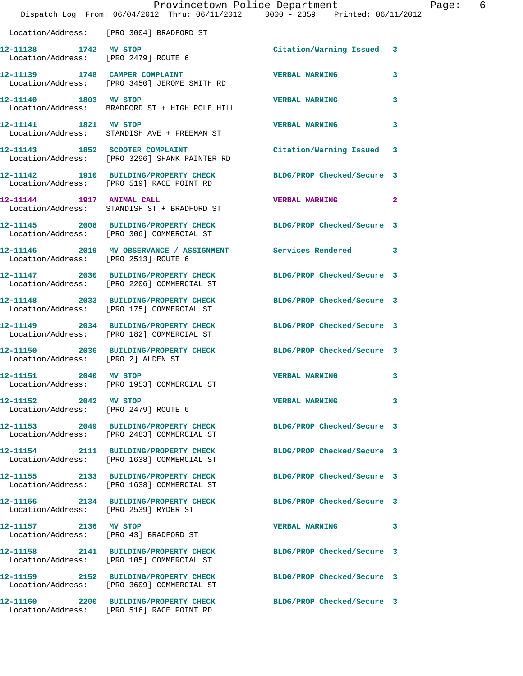|                                       | Provincetown Police Department<br>Dispatch Log From: 06/04/2012 Thru: 06/11/2012 0000 - 2359 Printed: 06/11/2012 |                            |                |
|---------------------------------------|------------------------------------------------------------------------------------------------------------------|----------------------------|----------------|
|                                       | Location/Address: [PRO 3004] BRADFORD ST                                                                         |                            |                |
|                                       | 12-11138 1742 MV STOP<br>Location/Address: [PRO 2479] ROUTE 6                                                    | Citation/Warning Issued 3  |                |
|                                       | 12-11139 1748 CAMPER COMPLAINT<br>Location/Address: [PRO 3450] JEROME SMITH RD                                   | <b>VERBAL WARNING</b>      | 3              |
| 12-11140 1803 MV STOP                 | Location/Address: BRADFORD ST + HIGH POLE HILL                                                                   | <b>VERBAL WARNING</b>      | 3              |
| 12-11141 1821 MV STOP                 | Location/Address: STANDISH AVE + FREEMAN ST                                                                      | <b>VERBAL WARNING</b>      | 3              |
|                                       | 12-11143 1852 SCOOTER COMPLAINT<br>Location/Address: [PRO 3296] SHANK PAINTER RD                                 | Citation/Warning Issued    | 3              |
|                                       | 12-11142 1910 BUILDING/PROPERTY CHECK BLDG/PROP Checked/Secure 3<br>Location/Address: [PRO 519] RACE POINT RD    |                            |                |
| 12-11144 1917 ANIMAL CALL             | Location/Address: STANDISH ST + BRADFORD ST                                                                      | <b>VERBAL WARNING</b>      | $\overline{2}$ |
|                                       | 12-11145 2008 BUILDING/PROPERTY CHECK<br>Location/Address: [PRO 306] COMMERCIAL ST                               | BLDG/PROP Checked/Secure 3 |                |
| Location/Address: [PRO 2513] ROUTE 6  | 12-11146 2019 MV OBSERVANCE / ASSIGNMENT Services Rendered                                                       |                            | 3              |
|                                       | 12-11147 2030 BUILDING/PROPERTY CHECK<br>Location/Address: [PRO 2206] COMMERCIAL ST                              | BLDG/PROP Checked/Secure 3 |                |
|                                       | 12-11148 2033 BUILDING/PROPERTY CHECK<br>Location/Address: [PRO 175] COMMERCIAL ST                               | BLDG/PROP Checked/Secure 3 |                |
|                                       | 12-11149 2034 BUILDING/PROPERTY CHECK<br>Location/Address: [PRO 182] COMMERCIAL ST                               | BLDG/PROP Checked/Secure 3 |                |
| Location/Address: [PRO 2] ALDEN ST    | 12-11150 2036 BUILDING/PROPERTY CHECK BLDG/PROP Checked/Secure 3                                                 |                            |                |
| 12-11151 2040 MV STOP                 | Location/Address: [PRO 1953] COMMERCIAL ST                                                                       | <b>VERBAL WARNING</b>      | 3              |
| 12-11152 2042 MV STOP                 | Location/Address: [PRO 2479] ROUTE 6                                                                             | <b>VERBAL WARNING</b>      | 3              |
|                                       | 12-11153 2049 BUILDING/PROPERTY CHECK<br>Location/Address: [PRO 2483] COMMERCIAL ST                              | BLDG/PROP Checked/Secure 3 |                |
|                                       | 12-11154 2111 BUILDING/PROPERTY CHECK<br>Location/Address: [PRO 1638] COMMERCIAL ST                              | BLDG/PROP Checked/Secure 3 |                |
|                                       | 12-11155 2133 BUILDING/PROPERTY CHECK<br>Location/Address: [PRO 1638] COMMERCIAL ST                              | BLDG/PROP Checked/Secure 3 |                |
| Location/Address: [PRO 2539] RYDER ST | 12-11156 2134 BUILDING/PROPERTY CHECK                                                                            | BLDG/PROP Checked/Secure 3 |                |
| 12-11157 2136 MV STOP                 | Location/Address: [PRO 43] BRADFORD ST                                                                           | <b>VERBAL WARNING</b>      | 3              |
|                                       | 12-11158 2141 BUILDING/PROPERTY CHECK<br>Location/Address: [PRO 105] COMMERCIAL ST                               | BLDG/PROP Checked/Secure 3 |                |
|                                       | 12-11159 2152 BUILDING/PROPERTY CHECK<br>Location/Address: [PRO 3609] COMMERCIAL ST                              | BLDG/PROP Checked/Secure 3 |                |
|                                       | 12-11160 2200 BUILDING/PROPERTY CHECK<br>Location/Address: [PRO 516] RACE POINT RD                               | BLDG/PROP Checked/Secure 3 |                |

Page: 6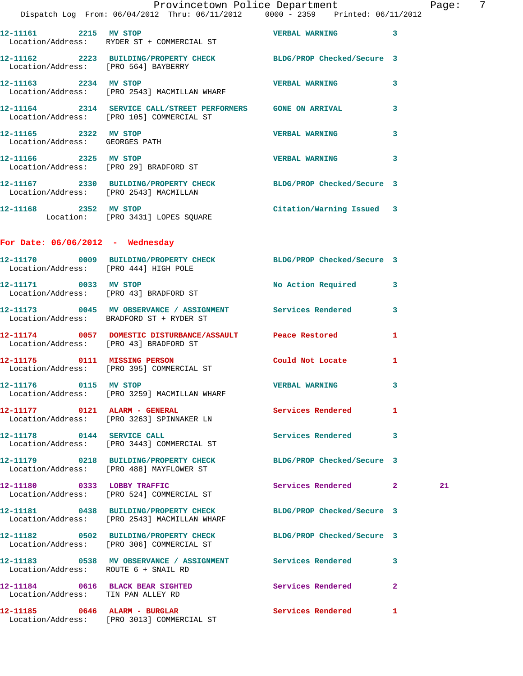|                                      | Provincetown Police Department The Page: 7<br>Dispatch Log From: 06/04/2012 Thru: 06/11/2012   0000 - 2359   Printed: 06/11/2012 |                            |              |    |  |
|--------------------------------------|----------------------------------------------------------------------------------------------------------------------------------|----------------------------|--------------|----|--|
|                                      | $12-11161$ 2215 MV STOP 2215 VERBAL WARNING 3<br>Location/Address: RYDER ST + COMMERCIAL ST                                      |                            |              |    |  |
|                                      | 12-11162  2223  BUILDING/PROPERTY CHECK BLDG/PROP Checked/Secure 3<br>Location/Address: [PRO 564] BAYBERRY                       |                            |              |    |  |
|                                      | 12-11163 2234 MV STOP 2008 2009 2234 VERBAL WARNING<br>Location/Address: [PRO 2543] MACMILLAN WHARF                              |                            | $\mathbf{3}$ |    |  |
|                                      | 12-11164 2314 SERVICE CALL/STREET PERFORMERS GONE ON ARRIVAL 3<br>Location/Address: [PRO 105] COMMERCIAL ST                      |                            |              |    |  |
| Location/Address: GEORGES PATH       | 12-11165 2322 MV STOP 2008 2009 2009 2322 MV STOP                                                                                |                            | 3            |    |  |
| 12-11166 2325 MV STOP                | Location/Address: [PRO 29] BRADFORD ST                                                                                           | <b>VERBAL WARNING 3</b>    |              |    |  |
|                                      | 12-11167 2330 BUILDING/PROPERTY CHECK BLDG/PROP Checked/Secure 3<br>Location/Address: [PRO 2543] MACMILLAN                       |                            |              |    |  |
|                                      | 12-11168 2352 MV STOP<br>Location: [PRO 3431] LOPES SQUARE                                                                       | Citation/Warning Issued 3  |              |    |  |
| For Date: $06/06/2012$ - Wednesday   |                                                                                                                                  |                            |              |    |  |
|                                      | 12-11170 0009 BUILDING/PROPERTY CHECK BLDG/PROP Checked/Secure 3<br>Location/Address: [PRO 444] HIGH POLE                        |                            |              |    |  |
|                                      | 12-11171 0033 MV STOP<br>Location/Address: [PRO 43] BRADFORD ST                                                                  | No Action Required 3       |              |    |  |
|                                      | 12-11173 0045 MV OBSERVANCE / ASSIGNMENT Services Rendered 3<br>Location/Address: BRADFORD ST + RYDER ST                         |                            |              |    |  |
|                                      | 12-11174   0057   DOMESTIC DISTURBANCE/ASSAULT   Peace Restored<br>Location/Address: [PRO 43] BRADFORD ST                        |                            | $\mathbf{1}$ |    |  |
|                                      | 12-11175 0111 MISSING PERSON<br>Location/Address: [PRO 395] COMMERCIAL ST                                                        | Could Not Locate           | 1            |    |  |
| 12-11176 0115 MV STOP                | Location/Address: [PRO 3259] MACMILLAN WHARF                                                                                     | <b>VERBAL WARNING</b>      | 3            |    |  |
|                                      | 12-11177 0121 ALARM - GENERAL<br>Location/Address: [PRO 3263] SPINNAKER LN                                                       | Services Rendered 1        |              |    |  |
|                                      | 12-11178 0144 SERVICE CALL<br>Location/Address: [PRO 3443] COMMERCIAL ST                                                         | Services Rendered 3        |              |    |  |
|                                      | 12-11179 0218 BUILDING/PROPERTY CHECK BLDG/PROP Checked/Secure 3<br>Location/Address: [PRO 488] MAYFLOWER ST                     |                            |              |    |  |
|                                      | 12-11180 0333 LOBBY TRAFFIC<br>Location/Address: [PRO 524] COMMERCIAL ST                                                         | Services Rendered 2        |              | 21 |  |
|                                      | 12-11181 0438 BUILDING/PROPERTY CHECK BLDG/PROP Checked/Secure 3<br>Location/Address: [PRO 2543] MACMILLAN WHARF                 |                            |              |    |  |
|                                      | 12-11182 0502 BUILDING/PROPERTY CHECK BLDG/PROP Checked/Secure 3<br>Location/Address: [PRO 306] COMMERCIAL ST                    |                            |              |    |  |
| Location/Address: ROUTE 6 + SNAIL RD | 12-11183 6538 MV OBSERVANCE / ASSIGNMENT Services Rendered 3                                                                     |                            |              |    |  |
| Location/Address: TIN PAN ALLEY RD   | 12-11184 0616 BLACK BEAR SIGHTED                                                                                                 | Services Rendered          | $\mathbf{2}$ |    |  |
|                                      |                                                                                                                                  | <b>Services Rendered</b> 1 |              |    |  |

Location/Address: [PRO 3013] COMMERCIAL ST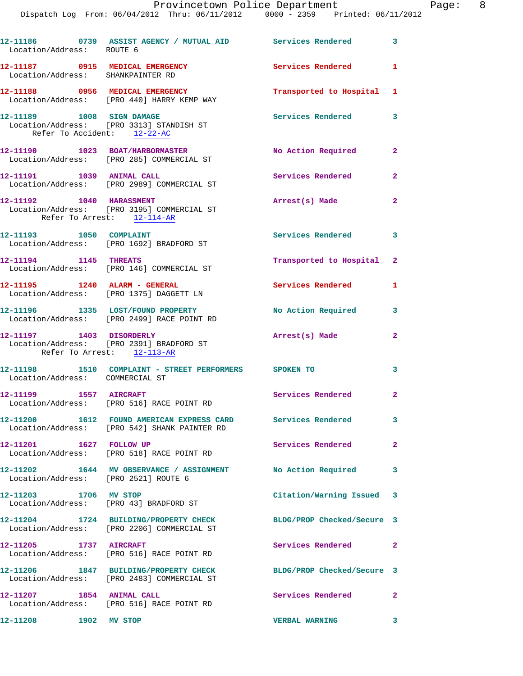## Provincetown Police Department The Page: 8

Dispatch Log From: 06/04/2012 Thru: 06/11/2012 0000 - 2359 Printed: 06/11/2012

|                                                                      | 12-11186             0739     ASSIST AGENCY  /  MUTUAL  AID                  Services  Rendered                   3<br>Location/Address:        ROUTE   6 |                            |                         |
|----------------------------------------------------------------------|-----------------------------------------------------------------------------------------------------------------------------------------------------------|----------------------------|-------------------------|
| 12-11187 0915 MEDICAL EMERGENCY<br>Location/Address: SHANKPAINTER RD |                                                                                                                                                           | Services Rendered 1        |                         |
|                                                                      | 12-11188 0956 MEDICAL EMERGENCY<br>Location/Address: [PRO 440] HARRY KEMP WAY                                                                             | Transported to Hospital 1  |                         |
| 12-11189 1008 SIGN DAMAGE<br>Refer To Accident: 12-22-AC             | Location/Address: [PRO 3313] STANDISH ST                                                                                                                  | Services Rendered 3        |                         |
|                                                                      | 12-11190 1023 BOAT/HARBORMASTER<br>Location/Address: [PRO 285] COMMERCIAL ST                                                                              | No Action Required 2       |                         |
|                                                                      | 12-11191 1039 ANIMAL CALL<br>Location/Address: [PRO 2989] COMMERCIAL ST                                                                                   | Services Rendered 2        |                         |
| 12-11192 1040 HARASSMENT<br>Refer To Arrest: 12-114-AR               | Location/Address: [PRO 3195] COMMERCIAL ST                                                                                                                | Arrest(s) Made 2           |                         |
|                                                                      | Location/Address: [PRO 1692] BRADFORD ST                                                                                                                  | Services Rendered 3        |                         |
| 12-11194 1145 THREATS                                                | Location/Address: [PRO 146] COMMERCIAL ST                                                                                                                 | Transported to Hospital 2  |                         |
|                                                                      | Location/Address: [PRO 1375] DAGGETT LN                                                                                                                   | Services Rendered          | $\mathbf{1}$            |
|                                                                      | 12-11196 1335 LOST/FOUND PROPERTY<br>Location/Address: [PRO 2499] RACE POINT RD                                                                           | No Action Required 3       |                         |
| 12-11197 1403 DISORDERLY<br>Refer To Arrest: 12-113-AR               | Location/Address: [PRO 2391] BRADFORD ST                                                                                                                  | Arrest(s) Made             | $\overline{2}$          |
| Location/Address: COMMERCIAL ST                                      | 12-11198 1510 COMPLAINT - STREET PERFORMERS SPOKEN TO                                                                                                     |                            | 3                       |
| 12-11199    1557    AIRCRAFT                                         | Location/Address: [PRO 516] RACE POINT RD                                                                                                                 | Services Rendered 2        |                         |
|                                                                      | 12-11200 1612 FOUND AMERICAN EXPRESS CARD Services Rendered<br>Location/Address: [PRO 542] SHANK PAINTER RD                                               |                            | $\overline{\mathbf{3}}$ |
|                                                                      | Location/Address: [PRO 518] RACE POINT RD                                                                                                                 | Services Rendered          | $\mathbf{2}$            |
| Location/Address: [PRO 2521] ROUTE 6                                 | 12-11202 1644 MV OBSERVANCE / ASSIGNMENT No Action Required                                                                                               |                            | $\overline{\mathbf{3}}$ |
| 12-11203 1706 MV STOP                                                | Location/Address: [PRO 43] BRADFORD ST                                                                                                                    | Citation/Warning Issued 3  |                         |
|                                                                      | 12-11204 1724 BUILDING/PROPERTY CHECK<br>Location/Address: [PRO 2206] COMMERCIAL ST                                                                       | BLDG/PROP Checked/Secure 3 |                         |
| 12-11205 1737 AIRCRAFT                                               | Location/Address: [PRO 516] RACE POINT RD                                                                                                                 | Services Rendered 2        |                         |
|                                                                      | 12-11206 1847 BUILDING/PROPERTY CHECK<br>Location/Address: [PRO 2483] COMMERCIAL ST                                                                       | BLDG/PROP Checked/Secure 3 |                         |
| 12-11207 1854 ANIMAL CALL                                            | Location/Address: [PRO 516] RACE POINT RD                                                                                                                 | Services Rendered 2        |                         |
| 12-11208 1902 MV STOP                                                |                                                                                                                                                           | <b>VERBAL WARNING</b>      | 3                       |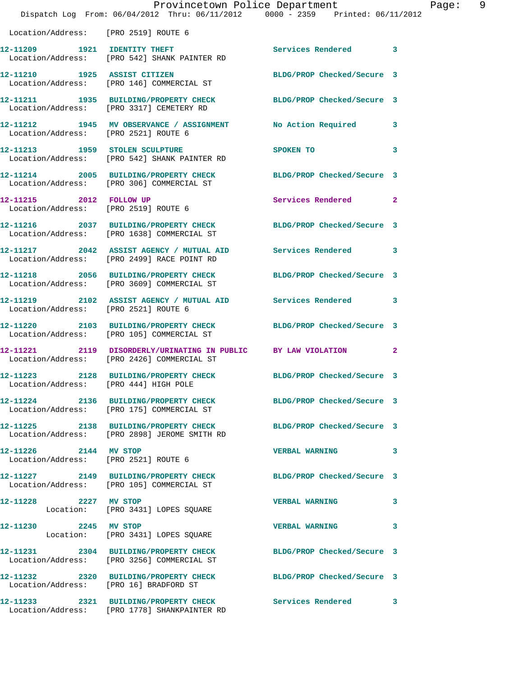|                                       | Dispatch Log From: 06/04/2012 Thru: 06/11/2012 0000 - 2359 Printed: 06/11/2012                                   | Provincetown Police Department        | Page: 9      |  |
|---------------------------------------|------------------------------------------------------------------------------------------------------------------|---------------------------------------|--------------|--|
| Location/Address: [PRO 2519] ROUTE 6  |                                                                                                                  |                                       |              |  |
|                                       | 12-11209 1921 IDENTITY THEFT<br>Location/Address: [PRO 542] SHANK PAINTER RD                                     | Services Rendered 3                   |              |  |
|                                       | 12-11210 1925 ASSIST CITIZEN<br>Location/Address: [PRO 146] COMMERCIAL ST                                        | BLDG/PROP Checked/Secure 3            |              |  |
|                                       | 12-11211 1935 BUILDING/PROPERTY CHECK BLDG/PROP Checked/Secure 3<br>Location/Address: [PRO 3317] CEMETERY RD     |                                       |              |  |
| Location/Address: [PRO 2521] ROUTE 6  | 12-11212 1945 MV OBSERVANCE / ASSIGNMENT No Action Required 3                                                    |                                       |              |  |
|                                       | 12-11213 1959 STOLEN SCULPTURE<br>Location/Address: [PRO 542] SHANK PAINTER RD                                   | SPOKEN TO THE SPOKEN OF THE SPOKEN TO | $\mathbf{3}$ |  |
|                                       | 12-11214 2005 BUILDING/PROPERTY CHECK BLDG/PROP Checked/Secure 3<br>Location/Address: [PRO 306] COMMERCIAL ST    |                                       |              |  |
|                                       | 12-11215 2012 FOLLOW UP<br>Location/Address: [PRO 2519] ROUTE 6                                                  | Services Rendered 2                   |              |  |
|                                       | 12-11216 2037 BUILDING/PROPERTY CHECK BLDG/PROP Checked/Secure 3<br>Location/Address: [PRO 1638] COMMERCIAL ST   |                                       |              |  |
|                                       | 12-11217 2042 ASSIST AGENCY / MUTUAL AID Services Rendered 3<br>Location/Address: [PRO 2499] RACE POINT RD       |                                       |              |  |
|                                       | 12-11218 2056 BUILDING/PROPERTY CHECK<br>Location/Address: [PRO 3609] COMMERCIAL ST                              | BLDG/PROP Checked/Secure 3            |              |  |
| Location/Address: [PRO 2521] ROUTE 6  | 12-11219 2102 ASSIST AGENCY / MUTUAL AID Services Rendered 3                                                     |                                       |              |  |
|                                       | 12-11220 2103 BUILDING/PROPERTY CHECK BLDG/PROP Checked/Secure 3<br>Location/Address: [PRO 105] COMMERCIAL ST    |                                       |              |  |
|                                       | 12-11221 2119 DISORDERLY/URINATING IN PUBLIC BY LAW VIOLATION 2<br>Location/Address: [PRO 2426] COMMERCIAL ST    |                                       |              |  |
| Location/Address: [PRO 444] HIGH POLE | 12-11223 2128 BUILDING/PROPERTY CHECK BLDG/PROP Checked/Secure 3                                                 |                                       |              |  |
|                                       | 12-11224 2136 BUILDING/PROPERTY CHECK BLDG/PROP Checked/Secure 3<br>Location/Address: [PRO 175] COMMERCIAL ST    |                                       |              |  |
|                                       | 12-11225 2138 BUILDING/PROPERTY CHECK BLDG/PROP Checked/Secure 3<br>Location/Address: [PRO 2898] JEROME SMITH RD |                                       |              |  |
| 12-11226 2144 MV STOP                 | Location/Address: [PRO 2521] ROUTE 6                                                                             | VERBAL WARNING 3                      |              |  |
|                                       | 12-11227 2149 BUILDING/PROPERTY CHECK BLDG/PROP Checked/Secure 3<br>Location/Address: [PRO 105] COMMERCIAL ST    |                                       |              |  |
| 12-11228 2227 MV STOP                 | Location: [PRO 3431] LOPES SQUARE                                                                                | <b>VERBAL WARNING</b>                 | 3            |  |
| 12-11230 2245 MV STOP                 | Location: [PRO 3431] LOPES SQUARE                                                                                | <b>VERBAL WARNING</b>                 | 3            |  |
|                                       | 12-11231 2304 BUILDING/PROPERTY CHECK BLDG/PROP Checked/Secure 3<br>Location/Address: [PRO 3256] COMMERCIAL ST   |                                       |              |  |
|                                       | 12-11232 2320 BUILDING/PROPERTY CHECK BLDG/PROP Checked/Secure 3<br>Location/Address: [PRO 16] BRADFORD ST       |                                       |              |  |
|                                       | 12-11233 2321 BUILDING/PROPERTY CHECK Services Rendered 3<br>Location/Address: [PRO 1778] SHANKPAINTER RD        |                                       |              |  |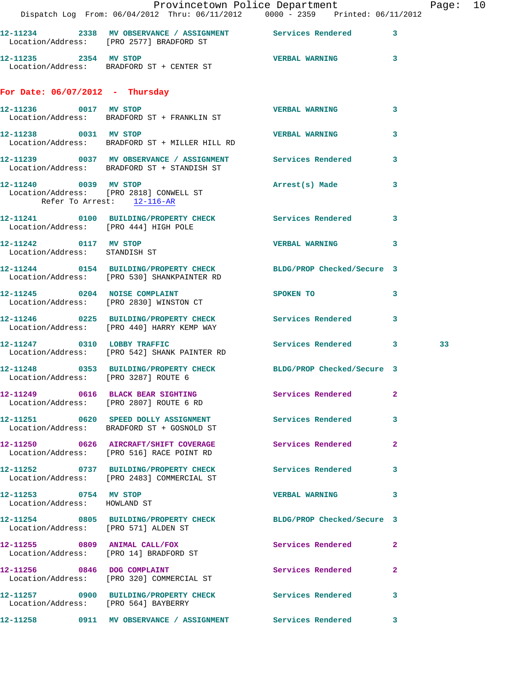|                                                        |                                                                                                                 | Provincetown Police Department                                                                                                                                                                                                |              | Page: 10 |  |
|--------------------------------------------------------|-----------------------------------------------------------------------------------------------------------------|-------------------------------------------------------------------------------------------------------------------------------------------------------------------------------------------------------------------------------|--------------|----------|--|
|                                                        | Dispatch Log From: 06/04/2012 Thru: 06/11/2012 0000 - 2359 Printed: 06/11/2012                                  |                                                                                                                                                                                                                               |              |          |  |
|                                                        | 12-11234 2338 MV OBSERVANCE / ASSIGNMENT Services Rendered 3<br>Location/Address: [PRO 2577] BRADFORD ST        |                                                                                                                                                                                                                               |              |          |  |
| 12-11235 2354 MV STOP                                  | Location/Address: BRADFORD ST + CENTER ST                                                                       | <b>VERBAL WARNING</b> 3                                                                                                                                                                                                       |              |          |  |
| For Date: $06/07/2012$ - Thursday                      |                                                                                                                 |                                                                                                                                                                                                                               |              |          |  |
|                                                        | 12-11236 0017 MV STOP<br>Location/Address: BRADFORD ST + FRANKLIN ST                                            | <b>VERBAL WARNING</b>                                                                                                                                                                                                         | $\mathbf{3}$ |          |  |
|                                                        | 12-11238 0031 MV STOP<br>Location/Address: BRADFORD ST + MILLER HILL RD                                         | <b>VERBAL WARNING</b>                                                                                                                                                                                                         | $\mathbf{3}$ |          |  |
|                                                        | 12-11239 0037 MV OBSERVANCE / ASSIGNMENT Services Rendered<br>Location/Address: BRADFORD ST + STANDISH ST       |                                                                                                                                                                                                                               | 3            |          |  |
| Refer To Arrest: 12-116-AR                             | 12-11240 0039 MV STOP<br>Location/Address: [PRO 2818] CONWELL ST                                                | Arrest(s) Made 3                                                                                                                                                                                                              |              |          |  |
|                                                        | 12-11241 0100 BUILDING/PROPERTY CHECK Services Rendered 3<br>Location/Address: [PRO 444] HIGH POLE              |                                                                                                                                                                                                                               |              |          |  |
| 12-11242 0117 MV STOP<br>Location/Address: STANDISH ST |                                                                                                                 | VERBAL WARNING 3                                                                                                                                                                                                              |              |          |  |
|                                                        | 12-11244 0154 BUILDING/PROPERTY CHECK BLDG/PROP Checked/Secure 3<br>Location/Address: [PRO 530] SHANKPAINTER RD |                                                                                                                                                                                                                               |              |          |  |
|                                                        | 12-11245 0204 NOISE COMPLAINT<br>Location/Address: [PRO 2830] WINSTON CT                                        | SPOKEN TO THE STATE OF THE STATE OF THE STATE OF THE STATE OF THE STATE OF THE STATE OF THE STATE OF THE STATE OF THE STATE OF THE STATE OF THE STATE OF THE STATE OF THE STATE OF THE STATE OF THE STATE OF THE STATE OF THE | 3            |          |  |
|                                                        | 12-11246 0225 BUILDING/PROPERTY CHECK Services Rendered 3<br>Location/Address: [PRO 440] HARRY KEMP WAY         |                                                                                                                                                                                                                               |              |          |  |
|                                                        | 12-11247 0310 LOBBY TRAFFIC<br>Location/Address: [PRO 542] SHANK PAINTER RD                                     | Services Rendered 3                                                                                                                                                                                                           |              | 33       |  |
| Location/Address: [PRO 3287] ROUTE 6                   | 12-11248 0353 BUILDING/PROPERTY CHECK BLDG/PROP Checked/Secure 3                                                |                                                                                                                                                                                                                               |              |          |  |
|                                                        | 12-11249 0616 BLACK BEAR SIGHTING<br>Location/Address: [PRO 2807] ROUTE 6 RD                                    | Services Rendered 2                                                                                                                                                                                                           |              |          |  |
|                                                        | 12-11251 0620 SPEED DOLLY ASSIGNMENT Services Rendered 3<br>Location/Address: BRADFORD ST + GOSNOLD ST          |                                                                                                                                                                                                                               |              |          |  |
|                                                        | 12-11250 0626 AIRCRAFT/SHIFT COVERAGE Services Rendered 2<br>Location/Address: [PRO 516] RACE POINT RD          |                                                                                                                                                                                                                               |              |          |  |
|                                                        | 12-11252 0737 BUILDING/PROPERTY CHECK<br>Location/Address: [PRO 2483] COMMERCIAL ST                             | <b>Services Rendered</b>                                                                                                                                                                                                      | 3            |          |  |
| 12-11253 0754 MV STOP<br>Location/Address: HOWLAND ST  |                                                                                                                 | <b>VERBAL WARNING 3</b>                                                                                                                                                                                                       |              |          |  |
|                                                        | 12-11254 0805 BUILDING/PROPERTY CHECK BLDG/PROP Checked/Secure 3<br>Location/Address: [PRO 571] ALDEN ST        |                                                                                                                                                                                                                               |              |          |  |
|                                                        | 12-11255 0809 ANIMAL CALL/FOX<br>Location/Address: [PRO 14] BRADFORD ST                                         | Services Rendered 2                                                                                                                                                                                                           |              |          |  |
|                                                        | 12-11256 0846 DOG COMPLAINT<br>Location/Address: [PRO 320] COMMERCIAL ST                                        | Services Rendered                                                                                                                                                                                                             | $\mathbf{2}$ |          |  |
|                                                        | 12-11257 0900 BUILDING/PROPERTY CHECK Services Rendered<br>Location/Address: [PRO 564] BAYBERRY                 |                                                                                                                                                                                                                               | 3            |          |  |
|                                                        | 12-11258 0911 MV OBSERVANCE / ASSIGNMENT Services Rendered 3                                                    |                                                                                                                                                                                                                               |              |          |  |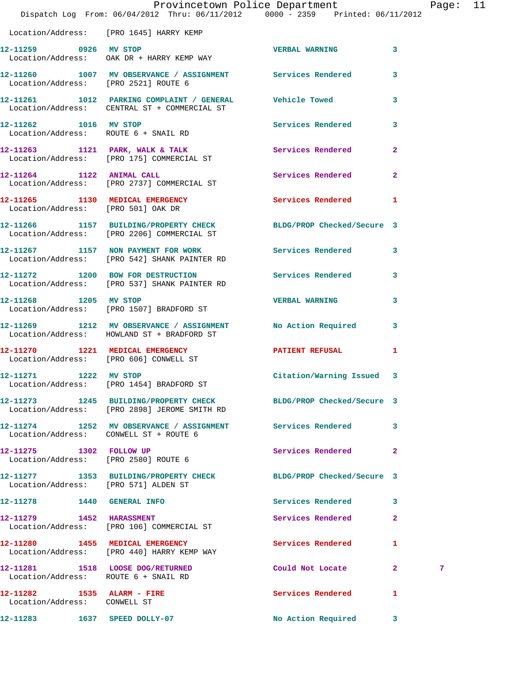|                                                            | Dispatch Log From: 06/04/2012 Thru: 06/11/2012 0000 - 2359 Printed: 06/11/2012                                   | Provincetown Police Department |                         | Page: 11 |  |
|------------------------------------------------------------|------------------------------------------------------------------------------------------------------------------|--------------------------------|-------------------------|----------|--|
|                                                            | Location/Address: [PRO 1645] HARRY KEMP                                                                          |                                |                         |          |  |
| 12-11259 0926 MV STOP                                      | Location/Address: OAK DR + HARRY KEMP WAY                                                                        | VERBAL WARNING 3               |                         |          |  |
| Location/Address: [PRO 2521] ROUTE 6                       | 12-11260 1007 MV OBSERVANCE / ASSIGNMENT Services Rendered 3                                                     |                                |                         |          |  |
|                                                            | 12-11261 1012 PARKING COMPLAINT / GENERAL Vehicle Towed<br>Location/Address: CENTRAL ST + COMMERCIAL ST          |                                | $\mathbf{3}$            |          |  |
| Location/Address: ROUTE 6 + SNAIL RD                       | 12-11262 1016 MV STOP                                                                                            | <b>Services Rendered</b>       | $\overline{\mathbf{3}}$ |          |  |
|                                                            | 12-11263 1121 PARK, WALK & TALK 3 Services Rendered 2<br>Location/Address: [PRO 175] COMMERCIAL ST               |                                |                         |          |  |
|                                                            | 12-11264 1122 ANIMAL CALL<br>Location/Address: [PRO 2737] COMMERCIAL ST                                          | Services Rendered              | $\overline{2}$          |          |  |
| Location/Address: [PRO 501] OAK DR                         | 12-11265 1130 MEDICAL EMERGENCY                                                                                  | Services Rendered 1            |                         |          |  |
|                                                            | 12-11266 1157 BUILDING/PROPERTY CHECK BLDG/PROP Checked/Secure 3<br>Location/Address: [PRO 2206] COMMERCIAL ST   |                                |                         |          |  |
|                                                            | 12-11267 1157 NON PAYMENT FOR WORK<br>Location/Address: [PRO 542] SHANK PAINTER RD                               | Services Rendered              | $\mathbf{3}$            |          |  |
|                                                            | 12-11272 1200 BOW FOR DESTRUCTION<br>Location/Address: [PRO 537] SHANK PAINTER RD                                | Services Rendered 3            |                         |          |  |
| 12-11268 1205 MV STOP                                      | Location/Address: [PRO 1507] BRADFORD ST                                                                         | <b>VERBAL WARNING</b>          | 3                       |          |  |
|                                                            | 12-11269 1212 MV OBSERVANCE / ASSIGNMENT<br>Location/Address: HOWLAND ST + BRADFORD ST                           | No Action Required 3           |                         |          |  |
|                                                            | 12-11270 1221 MEDICAL EMERGENCY<br>Location/Address: [PRO 606] CONWELL ST                                        | PATIENT REFUSAL                | 1                       |          |  |
| 12-11271 1222 MV STOP                                      | Location/Address: [PRO 1454] BRADFORD ST                                                                         | Citation/Warning Issued 3      |                         |          |  |
|                                                            | 12-11273 1245 BUILDING/PROPERTY CHECK BLDG/PROP Checked/Secure 3<br>Location/Address: [PRO 2898] JEROME SMITH RD |                                |                         |          |  |
|                                                            | 12-11274 1252 MV OBSERVANCE / ASSIGNMENT Services Rendered 3<br>Location/Address: CONWELL ST + ROUTE 6           |                                |                         |          |  |
| 12-11275 1302 FOLLOW UP                                    | Location/Address: [PRO 2580] ROUTE 6                                                                             | Services Rendered 2            |                         |          |  |
| Location/Address: [PRO 571] ALDEN ST                       | 12-11277 1353 BUILDING/PROPERTY CHECK BLDG/PROP Checked/Secure 3                                                 |                                |                         |          |  |
| 12-11278   1440   GENERAL INFO                             |                                                                                                                  | Services Rendered              | 3                       |          |  |
| 12-11279 1452 HARASSMENT                                   | Location/Address: [PRO 106] COMMERCIAL ST                                                                        | Services Rendered              | $\mathbf{2}$            |          |  |
|                                                            | 12-11280 1455 MEDICAL EMERGENCY<br>Location/Address: [PRO 440] HARRY KEMP WAY                                    | Services Rendered              | $\mathbf{1}$            |          |  |
| Location/Address: ROUTE 6 + SNAIL RD                       | 12-11281 1518 LOOSE DOG/RETURNED                                                                                 | Could Not Locate 2             |                         | 7        |  |
| 12-11282 1535 ALARM - FIRE<br>Location/Address: CONWELL ST |                                                                                                                  | Services Rendered              | 1                       |          |  |
| 12-11283 1637 SPEED DOLLY-07                               |                                                                                                                  | No Action Required 3           |                         |          |  |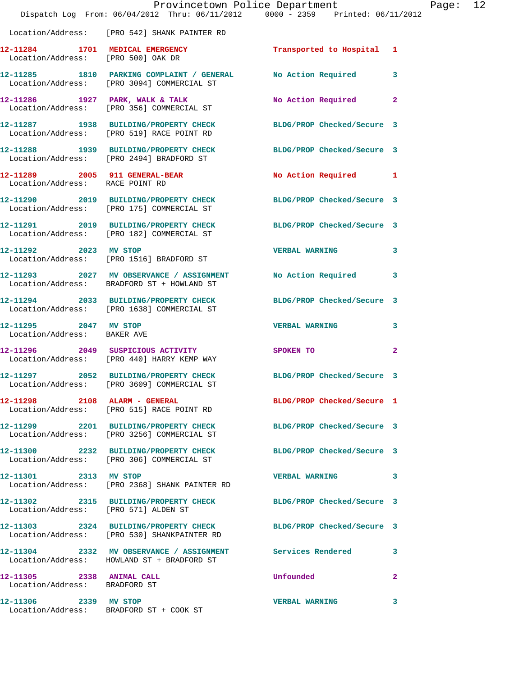|                                                                   | Provincetown Police Department<br>Dispatch Log From: 06/04/2012 Thru: 06/11/2012 0000 - 2359 Printed: 06/11/2012 |                            |              |
|-------------------------------------------------------------------|------------------------------------------------------------------------------------------------------------------|----------------------------|--------------|
|                                                                   | Location/Address: [PRO 542] SHANK PAINTER RD                                                                     |                            |              |
|                                                                   | 12-11284 1701 MEDICAL EMERGENCY<br>Location/Address: [PRO 500] OAK DR                                            | Transported to Hospital    | 1            |
|                                                                   | 12-11285 1810 PARKING COMPLAINT / GENERAL<br>Location/Address: [PRO 3094] COMMERCIAL ST                          | No Action Required         | 3            |
|                                                                   | 12-11286 1927 PARK, WALK & TALK<br>Location/Address: [PRO 356] COMMERCIAL ST                                     | No Action Required         | $\mathbf{2}$ |
|                                                                   | 12-11287 1938 BUILDING/PROPERTY CHECK<br>Location/Address: [PRO 519] RACE POINT RD                               | BLDG/PROP Checked/Secure 3 |              |
|                                                                   | 12-11288 1939 BUILDING/PROPERTY CHECK<br>Location/Address: [PRO 2494] BRADFORD ST                                | BLDG/PROP Checked/Secure 3 |              |
| 12-11289 2005 911 GENERAL-BEAR<br>Location/Address: RACE POINT RD |                                                                                                                  | No Action Required         | 1            |
|                                                                   | 12-11290 2019 BUILDING/PROPERTY CHECK BLDG/PROP Checked/Secure 3<br>Location/Address: [PRO 175] COMMERCIAL ST    |                            |              |
|                                                                   | 12-11291 2019 BUILDING/PROPERTY CHECK BLDG/PROP Checked/Secure 3<br>Location/Address: [PRO 182] COMMERCIAL ST    |                            |              |
| 12-11292 2023 MV STOP                                             | Location/Address: [PRO 1516] BRADFORD ST                                                                         | <b>VERBAL WARNING</b>      | 3            |
|                                                                   | 12-11293 2027 MV OBSERVANCE / ASSIGNMENT<br>Location/Address: BRADFORD ST + HOWLAND ST                           | <b>No Action Required</b>  | 3            |
|                                                                   | 12-11294 2033 BUILDING/PROPERTY CHECK<br>Location/Address: [PRO 1638] COMMERCIAL ST                              | BLDG/PROP Checked/Secure 3 |              |
| 12-11295 2047 MV STOP<br>Location/Address: BAKER AVE              |                                                                                                                  | <b>VERBAL WARNING</b>      | 3            |
|                                                                   | 12-11296  2049 SUSPICIOUS ACTIVITY<br>Location/Address: [PRO 440] HARRY KEMP WAY                                 | SPOKEN TO                  | $\mathbf{2}$ |
|                                                                   | 12-11297 2052 BUILDING/PROPERTY CHECK<br>Location/Address: [PRO 3609] COMMERCIAL ST                              | BLDG/PROP Checked/Secure 3 |              |
|                                                                   | Location/Address: [PRO 515] RACE POINT RD                                                                        | BLDG/PROP Checked/Secure 1 |              |
|                                                                   | 12-11299 2201 BUILDING/PROPERTY CHECK<br>Location/Address: [PRO 3256] COMMERCIAL ST                              | BLDG/PROP Checked/Secure 3 |              |
|                                                                   | 12-11300 2232 BUILDING/PROPERTY CHECK<br>Location/Address: [PRO 306] COMMERCIAL ST                               | BLDG/PROP Checked/Secure 3 |              |
| 12-11301 2313 MV STOP                                             | Location/Address: [PRO 2368] SHANK PAINTER RD                                                                    | <b>VERBAL WARNING</b>      | 3            |
| Location/Address: [PRO 571] ALDEN ST                              | 12-11302 2315 BUILDING/PROPERTY CHECK BLDG/PROP Checked/Secure 3                                                 |                            |              |
|                                                                   | 12-11303 2324 BUILDING/PROPERTY CHECK BLDG/PROP Checked/Secure 3<br>Location/Address: [PRO 530] SHANKPAINTER RD  |                            |              |
|                                                                   | 12-11304 2332 MV OBSERVANCE / ASSIGNMENT Services Rendered<br>Location/Address: HOWLAND ST + BRADFORD ST         |                            | 3            |
| 12-11305 2338 ANIMAL CALL<br>Location/Address: BRADFORD ST        |                                                                                                                  | Unfounded                  | $\mathbf{2}$ |
| 12-11306 2339 MV STOP                                             | Location/Address: BRADFORD ST + COOK ST                                                                          | <b>VERBAL WARNING</b>      | 3            |

Page:  $12$ <br> $2$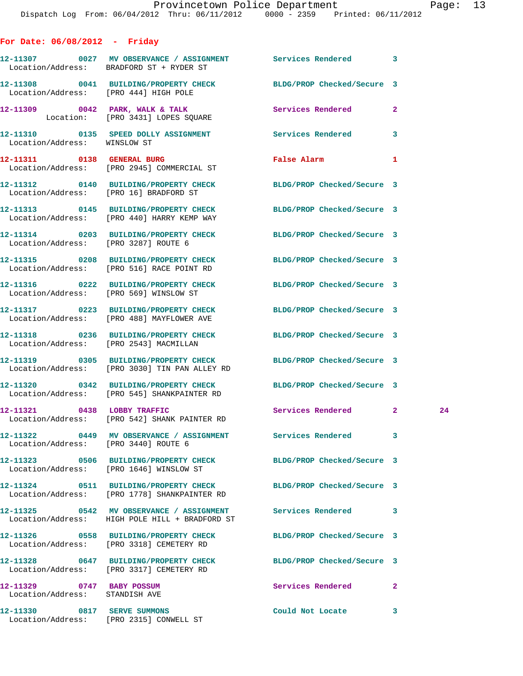## **For Date: 06/08/2012 - Friday**

Location/Address: [PRO 2315] CONWELL ST

|                                                             | 12-11307 0027 MV OBSERVANCE / ASSIGNMENT Services Rendered 3<br>Location/Address: BRADFORD ST + RYDER ST          |                                                                                                                |              |  |
|-------------------------------------------------------------|-------------------------------------------------------------------------------------------------------------------|----------------------------------------------------------------------------------------------------------------|--------------|--|
| Location/Address: [PRO 444] HIGH POLE                       | 12-11308 0041 BUILDING/PROPERTY CHECK BLDG/PROP Checked/Secure 3                                                  |                                                                                                                |              |  |
|                                                             | 12-11309 0042 PARK, WALK & TALK 3 Services Rendered<br>Location: [PRO 3431] LOPES SQUARE                          |                                                                                                                | $\mathbf{2}$ |  |
| Location/Address: WINSLOW ST                                | 12-11310 0135 SPEED DOLLY ASSIGNMENT Services Rendered                                                            |                                                                                                                | 3            |  |
|                                                             | 12-11311 0138 GENERAL BURG<br>Location/Address: [PRO 2945] COMMERCIAL ST                                          | False Alarm and the state of the state of the state of the state of the state of the state of the state of the | 1            |  |
|                                                             | 12-11312 0140 BUILDING/PROPERTY CHECK<br>Location/Address: [PRO 16] BRADFORD ST                                   | BLDG/PROP Checked/Secure 3                                                                                     |              |  |
|                                                             | 12-11313 0145 BUILDING/PROPERTY CHECK BLDG/PROP Checked/Secure 3<br>Location/Address: [PRO 440] HARRY KEMP WAY    |                                                                                                                |              |  |
| Location/Address: [PRO 3287] ROUTE 6                        | 12-11314 0203 BUILDING/PROPERTY CHECK                                                                             | BLDG/PROP Checked/Secure 3                                                                                     |              |  |
|                                                             | 12-11315 0208 BUILDING/PROPERTY CHECK<br>Location/Address: [PRO 516] RACE POINT RD                                | BLDG/PROP Checked/Secure 3                                                                                     |              |  |
|                                                             | 12-11316 0222 BUILDING/PROPERTY CHECK BLDG/PROP Checked/Secure 3<br>Location/Address: [PRO 569] WINSLOW ST        |                                                                                                                |              |  |
|                                                             | 12-11317 0223 BUILDING/PROPERTY CHECK BLDG/PROP Checked/Secure 3<br>Location/Address: [PRO 488] MAYFLOWER AVE     |                                                                                                                |              |  |
|                                                             | 12-11318 0236 BUILDING/PROPERTY CHECK BLDG/PROP Checked/Secure 3<br>Location/Address: [PRO 2543] MACMILLAN        |                                                                                                                |              |  |
|                                                             | 12-11319 0305 BUILDING/PROPERTY CHECK BLDG/PROP Checked/Secure 3<br>Location/Address: [PRO 3030] TIN PAN ALLEY RD |                                                                                                                |              |  |
|                                                             | 12-11320 0342 BUILDING/PROPERTY CHECK BLDG/PROP Checked/Secure 3<br>Location/Address: [PRO 545] SHANKPAINTER RD   |                                                                                                                |              |  |
|                                                             | 12-11321 0438 LOBBY TRAFFIC<br>Location/Address: [PRO 542] SHANK PAINTER RD                                       | Services Rendered 2                                                                                            | 24           |  |
| Location/Address: [PRO 3440] ROUTE 6                        | 12-11322 0449 MV OBSERVANCE / ASSIGNMENT Services Rendered 3                                                      |                                                                                                                |              |  |
|                                                             | 12-11323 0506 BUILDING/PROPERTY CHECK<br>Location/Address: [PRO 1646] WINSLOW ST                                  | BLDG/PROP Checked/Secure 3                                                                                     |              |  |
|                                                             | 12-11324 0511 BUILDING/PROPERTY CHECK<br>Location/Address: [PRO 1778] SHANKPAINTER RD                             | BLDG/PROP Checked/Secure 3                                                                                     |              |  |
|                                                             | 12-11325 0542 MV OBSERVANCE / ASSIGNMENT Services Rendered<br>Location/Address: HIGH POLE HILL + BRADFORD ST      |                                                                                                                | 3            |  |
|                                                             | 12-11326 0558 BUILDING/PROPERTY CHECK<br>Location/Address: [PRO 3318] CEMETERY RD                                 | BLDG/PROP Checked/Secure 3                                                                                     |              |  |
|                                                             | 12-11328 0647 BUILDING/PROPERTY CHECK BLDG/PROP Checked/Secure 3<br>Location/Address: [PRO 3317] CEMETERY RD      |                                                                                                                |              |  |
| 12-11329 0747 BABY POSSUM<br>Location/Address: STANDISH AVE |                                                                                                                   | Services Rendered                                                                                              | $\mathbf{2}$ |  |
| 12-11330 0817 SERVE SUMMONS                                 |                                                                                                                   | Could Not Locate                                                                                               | 3            |  |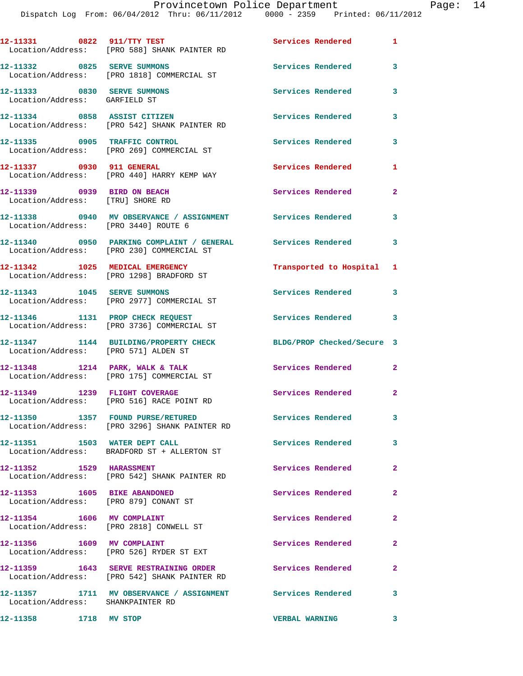|                                                                       | 12-11331 0822 911/TTY TEST<br>Location/Address: [PRO 588] SHANK PAINTER RD                               | <b>Services Rendered</b>   | $\mathbf{1}$   |
|-----------------------------------------------------------------------|----------------------------------------------------------------------------------------------------------|----------------------------|----------------|
| 12-11332 0825 SERVE SUMMONS                                           | Location/Address: [PRO 1818] COMMERCIAL ST                                                               | Services Rendered          | 3              |
| 12-11333 0830 SERVE SUMMONS<br>Location/Address: GARFIELD ST          |                                                                                                          | <b>Services Rendered</b>   | 3              |
| 12-11334 0858 ASSIST CITIZEN                                          | Location/Address: [PRO 542] SHANK PAINTER RD                                                             | Services Rendered          | 3              |
|                                                                       | 12-11335 0905 TRAFFIC CONTROL<br>Location/Address: [PRO 269] COMMERCIAL ST                               | Services Rendered          | 3              |
| 12-11337 0930 911 GENERAL                                             | Location/Address: [PRO 440] HARRY KEMP WAY                                                               | Services Rendered          | 1              |
| 12-11339 0939 BIRD ON BEACH<br>Location/Address: [TRU] SHORE RD       |                                                                                                          | Services Rendered          | $\mathbf{2}$   |
| Location/Address: [PRO 3440] ROUTE 6                                  | 12-11338 0940 MV OBSERVANCE / ASSIGNMENT Services Rendered                                               |                            | 3              |
|                                                                       | 12-11340 0950 PARKING COMPLAINT / GENERAL Services Rendered<br>Location/Address: [PRO 230] COMMERCIAL ST |                            | 3              |
|                                                                       | 12-11342 1025 MEDICAL EMERGENCY<br>Location/Address: [PRO 1298] BRADFORD ST                              | Transported to Hospital 1  |                |
| 12-11343 1045 SERVE SUMMONS                                           | Location/Address: [PRO 2977] COMMERCIAL ST                                                               | Services Rendered 3        |                |
|                                                                       | 12-11346 1131 PROP CHECK REQUEST<br>Location/Address: [PRO 3736] COMMERCIAL ST                           | Services Rendered          | 3              |
| Location/Address: [PRO 571] ALDEN ST                                  | 12-11347 1144 BUILDING/PROPERTY CHECK                                                                    | BLDG/PROP Checked/Secure 3 |                |
|                                                                       | 12-11348 1214 PARK, WALK & TALK<br>Location/Address: [PRO 175] COMMERCIAL ST                             | <b>Services Rendered</b>   | $\mathbf{2}$   |
| 12-11349 1239 FLIGHT COVERAGE                                         | Location/Address: [PRO 516] RACE POINT RD                                                                | Services Rendered          | $\overline{2}$ |
| 12-11350                                                              | 1357 FOUND PURSE/RETURED<br>Location/Address: [PRO 3296] SHANK PAINTER RD                                | Services Rendered          | 3              |
|                                                                       | Location/Address: BRADFORD ST + ALLERTON ST                                                              | Services Rendered          | 3              |
| 12-11352 1529 HARASSMENT                                              | Location/Address: [PRO 542] SHANK PAINTER RD                                                             | Services Rendered          | $\overline{2}$ |
| 12-11353 1605 BIKE ABANDONED<br>Location/Address: [PRO 879] CONANT ST |                                                                                                          | Services Rendered          | $\overline{a}$ |
| 12-11354 1606 MV COMPLAINT<br>Location/Address: [PRO 2818] CONWELL ST |                                                                                                          | Services Rendered          | $\mathbf{2}$   |
| 12-11356   1609   MV COMPLAINT                                        | Location/Address: [PRO 526] RYDER ST EXT                                                                 | Services Rendered          | $\mathbf{2}$   |
|                                                                       | 12-11359 1643 SERVE RESTRAINING ORDER<br>Location/Address: [PRO 542] SHANK PAINTER RD                    | Services Rendered          | $\mathbf{2}$   |
| Location/Address: SHANKPAINTER RD                                     | 12-11357 1711 MV OBSERVANCE / ASSIGNMENT Services Rendered                                               |                            | 3              |
| 12-11358 1718 MV STOP                                                 |                                                                                                          | <b>VERBAL WARNING</b>      | 3              |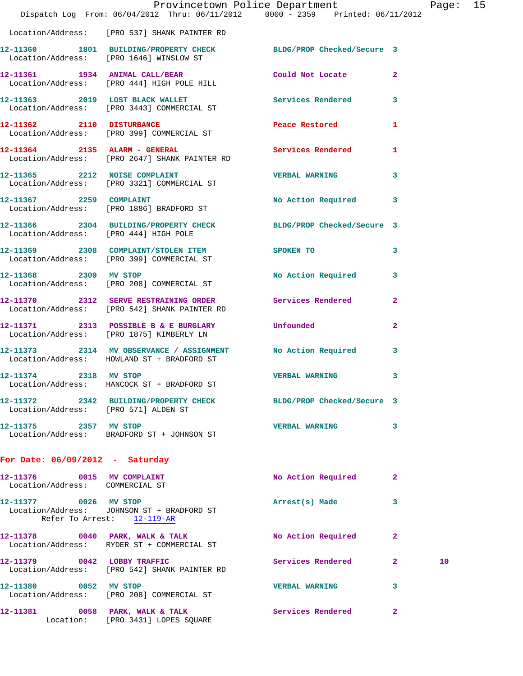|                                                               | Dispatch Log From: 06/04/2012 Thru: 06/11/2012 0000 - 2359 Printed: 06/11/2012                              | Provincetown Police Department |                | Page: | 15 |
|---------------------------------------------------------------|-------------------------------------------------------------------------------------------------------------|--------------------------------|----------------|-------|----|
|                                                               | Location/Address: [PRO 537] SHANK PAINTER RD                                                                |                                |                |       |    |
|                                                               | 12-11360 1801 BUILDING/PROPERTY CHECK BLDG/PROP Checked/Secure 3<br>Location/Address: [PRO 1646] WINSLOW ST |                                |                |       |    |
|                                                               | 12-11361 1934 ANIMAL CALL/BEAR Could Not Locate<br>Location/Address: [PRO 444] HIGH POLE HILL               |                                | $\overline{2}$ |       |    |
|                                                               | 12-11363 2019 LOST BLACK WALLET Services Rendered<br>Location/Address: [PRO 3443] COMMERCIAL ST             |                                | 3              |       |    |
|                                                               | 12-11362 2110 DISTURBANCE Peace Restored<br>Location/Address: [PRO 399] COMMERCIAL ST                       |                                | 1              |       |    |
|                                                               | 12-11364 2135 ALARM - GENERAL Services Rendered<br>Location/Address: [PRO 2647] SHANK PAINTER RD            |                                | 1              |       |    |
|                                                               | 12-11365 2212 NOISE COMPLAINT<br>Location/Address: [PRO 3321] COMMERCIAL ST                                 | <b>VERBAL WARNING</b>          | 3              |       |    |
| 12-11367 2259 COMPLAINT                                       | Location/Address: [PRO 1886] BRADFORD ST                                                                    | No Action Required             | 3              |       |    |
|                                                               | 12-11366 2304 BUILDING/PROPERTY CHECK BLDG/PROP Checked/Secure 3<br>Location/Address: [PRO 444] HIGH POLE   |                                |                |       |    |
|                                                               | 12-11369 2308 COMPLAINT/STOLEN ITEM SPOKEN TO<br>Location/Address: [PRO 399] COMMERCIAL ST                  |                                | 3              |       |    |
|                                                               | 12-11368 2309 MV STOP<br>Location/Address: [PRO 208] COMMERCIAL ST                                          | No Action Required             | 3              |       |    |
|                                                               | 12-11370 2312 SERVE RESTRAINING ORDER Services Rendered<br>Location/Address: [PRO 542] SHANK PAINTER RD     |                                | $\mathbf{2}$   |       |    |
|                                                               | 12-11371 2313 POSSIBLE B & E BURGLARY Unfounded<br>Location/Address: [PRO 1875] KIMBERLY LN                 |                                | $\mathbf{2}$   |       |    |
|                                                               | 12-11373 2314 MV OBSERVANCE / ASSIGNMENT<br>Location/Address: HOWLAND ST + BRADFORD ST                      | <b>No Action Required</b>      | 3              |       |    |
| 12-11374 2318 MV STOP<br>Location/Address:                    | HANCOCK ST + BRADFORD ST                                                                                    | <b>VERBAL WARNING</b>          | 3              |       |    |
| Location/Address: [PRO 571] ALDEN ST                          | 12-11372 2342 BUILDING/PROPERTY CHECK BLDG/PROP Checked/Secure 3                                            |                                |                |       |    |
| 12-11375 2357 MV STOP                                         | Location/Address: BRADFORD ST + JOHNSON ST                                                                  | <b>VERBAL WARNING</b>          | 3              |       |    |
| For Date: $06/09/2012$ - Saturday                             |                                                                                                             |                                |                |       |    |
| 12-11376 0015 MV COMPLAINT<br>Location/Address: COMMERCIAL ST |                                                                                                             | No Action Required             | 2              |       |    |
| 12-11377 0026 MV STOP                                         | Location/Address: JOHNSON ST + BRADFORD ST<br>Refer To Arrest: 12-119-AR                                    | Arrest(s) Made                 | 3              |       |    |
|                                                               | 12-11378 0040 PARK, WALK & TALK<br>Location/Address: RYDER ST + COMMERCIAL ST                               | No Action Required             | $\mathbf{2}$   |       |    |
| 12-11379 0042 LOBBY TRAFFIC                                   | Location/Address: [PRO 542] SHANK PAINTER RD                                                                | <b>Services Rendered</b>       | $\mathbf{2}$   | 10    |    |
| 12-11380 0052 MV STOP                                         | Location/Address: [PRO 208] COMMERCIAL ST                                                                   | <b>VERBAL WARNING</b>          | 3              |       |    |
|                                                               | 12-11381 0058 PARK, WALK & TALK<br>Location: [PRO 3431] LOPES SQUARE                                        | Services Rendered              | $\mathbf{2}$   |       |    |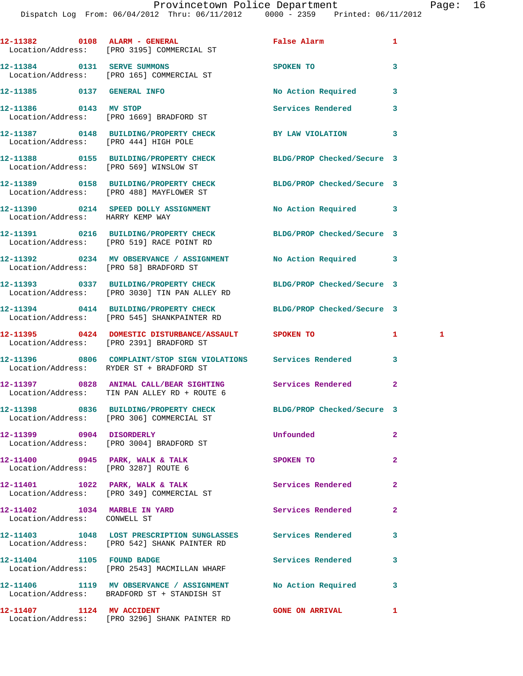|                                                                    | 12-11382 0108 ALARM - GENERAL<br>Location/Address: [PRO 3195] COMMERCIAL ST                                       | False Alarm                | 1              |
|--------------------------------------------------------------------|-------------------------------------------------------------------------------------------------------------------|----------------------------|----------------|
|                                                                    | 12-11384 0131 SERVE SUMMONS<br>Location/Address: [PRO 165] COMMERCIAL ST                                          | SPOKEN TO                  | 3              |
| 12-11385 0137 GENERAL INFO                                         |                                                                                                                   | No Action Required         | 3              |
| 12-11386 0143 MV STOP                                              | Location/Address: [PRO 1669] BRADFORD ST                                                                          | Services Rendered          | 3              |
| Location/Address: [PRO 444] HIGH POLE                              | 12-11387 0148 BUILDING/PROPERTY CHECK                                                                             | BY LAW VIOLATION           | 3              |
| Location/Address: [PRO 569] WINSLOW ST                             | 12-11388 0155 BUILDING/PROPERTY CHECK BLDG/PROP Checked/Secure 3                                                  |                            |                |
|                                                                    | 12-11389 0158 BUILDING/PROPERTY CHECK<br>Location/Address: [PRO 488] MAYFLOWER ST                                 | BLDG/PROP Checked/Secure 3 |                |
| Location/Address: HARRY KEMP WAY                                   | 12-11390 0214 SPEED DOLLY ASSIGNMENT                                                                              | No Action Required         | 3              |
|                                                                    | 12-11391 0216 BUILDING/PROPERTY CHECK BLDG/PROP Checked/Secure 3<br>Location/Address: [PRO 519] RACE POINT RD     |                            |                |
|                                                                    | 12-11392 0234 MV OBSERVANCE / ASSIGNMENT No Action Required<br>Location/Address: [PRO 58] BRADFORD ST             |                            | 3              |
|                                                                    | 12-11393 0337 BUILDING/PROPERTY CHECK BLDG/PROP Checked/Secure 3<br>Location/Address: [PRO 3030] TIN PAN ALLEY RD |                            |                |
|                                                                    | 12-11394 0414 BUILDING/PROPERTY CHECK BLDG/PROP Checked/Secure 3<br>Location/Address: [PRO 545] SHANKPAINTER RD   |                            |                |
|                                                                    | 12-11395 0424 DOMESTIC DISTURBANCE/ASSAULT SPOKEN TO<br>Location/Address: [PRO 2391] BRADFORD ST                  |                            | 1<br>1         |
|                                                                    | Location/Address: RYDER ST + BRADFORD ST                                                                          |                            | 3              |
|                                                                    | 12-11397 0828 ANIMAL CALL/BEAR SIGHTING Services Rendered<br>Location/Address: TIN PAN ALLEY RD + ROUTE 6         |                            | $\mathbf{2}$   |
|                                                                    | 12-11398 0836 BUILDING/PROPERTY CHECK<br>Location/Address: [PRO 306] COMMERCIAL ST                                | BLDG/PROP Checked/Secure 3 |                |
| 12-11399 0904 DISORDERLY                                           | Location/Address: [PRO 3004] BRADFORD ST                                                                          | Unfounded                  | $\mathbf{2}$   |
| Location/Address: [PRO 3287] ROUTE 6                               | 12-11400 0945 PARK, WALK & TALK                                                                                   | SPOKEN TO                  | $\overline{a}$ |
|                                                                    | 12-11401 1022 PARK, WALK & TALK<br>Location/Address: [PRO 349] COMMERCIAL ST                                      | Services Rendered          | $\mathbf{2}$   |
| 12-11402   1034   MARBLE   IN YARD<br>Location/Address: CONWELL ST |                                                                                                                   | Services Rendered          | $\mathbf{2}$   |
|                                                                    | 12-11403 1048 LOST PRESCRIPTION SUNGLASSES Services Rendered<br>Location/Address: [PRO 542] SHANK PAINTER RD      |                            | 3              |
|                                                                    | 12-11404 1105 FOUND BADGE<br>Location/Address: [PRO 2543] MACMILLAN WHARF                                         | <b>Services Rendered</b>   | 3              |
|                                                                    | 12-11406 1119 MV OBSERVANCE / ASSIGNMENT No Action Required<br>Location/Address: BRADFORD ST + STANDISH ST        |                            | 3              |
| 12-11407 1124 MV ACCIDENT                                          | Location/Address: [PRO 3296] SHANK PAINTER RD                                                                     | <b>GONE ON ARRIVAL</b>     | 1              |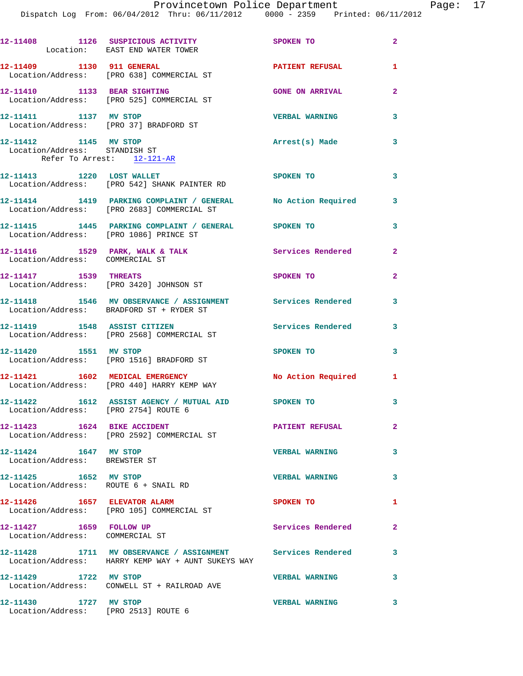|                                                                                      | 12-11408 1126 SUSPICIOUS ACTIVITY<br>Location: EAST END WATER TOWER                                              | <b>SPOKEN TO</b>           | $\overline{2}$ |
|--------------------------------------------------------------------------------------|------------------------------------------------------------------------------------------------------------------|----------------------------|----------------|
|                                                                                      | 12-11409    1130    911    GENERAL<br>Location/Address: [PRO 638] COMMERCIAL ST                                  | <b>PATIENT REFUSAL</b>     | 1              |
| 12-11410 1133 BEAR SIGHTING                                                          | Location/Address: [PRO 525] COMMERCIAL ST                                                                        | <b>GONE ON ARRIVAL</b>     | $\overline{2}$ |
| 12-11411 1137 MV STOP                                                                | Location/Address: [PRO 37] BRADFORD ST                                                                           | <b>VERBAL WARNING</b>      | 3              |
| 12-11412 1145 MV STOP<br>Location/Address: STANDISH ST<br>Refer To Arrest: 12-121-AR |                                                                                                                  | Arrest(s) Made             | 3              |
|                                                                                      | 12-11413 1220 LOST WALLET<br>Location/Address: [PRO 542] SHANK PAINTER RD                                        | SPOKEN TO                  | 3              |
|                                                                                      | 12-11414 1419 PARKING COMPLAINT / GENERAL No Action Required 3<br>Location/Address: [PRO 2683] COMMERCIAL ST     |                            |                |
|                                                                                      |                                                                                                                  |                            | 3              |
| Location/Address: COMMERCIAL ST                                                      | 12-11416 1529 PARK, WALK & TALK 1988 Services Rendered                                                           |                            | $\overline{2}$ |
| 12-11417 1539 THREATS                                                                | Location/Address: [PRO 3420] JOHNSON ST                                                                          | SPOKEN TO                  | $\mathbf{2}$   |
|                                                                                      | 12-11418 1546 MV OBSERVANCE / ASSIGNMENT Services Rendered 3<br>Location/Address: BRADFORD ST + RYDER ST         |                            |                |
|                                                                                      | 12-11419    1548    ASSIST CITIZEN<br>Location/Address: [PRO 2568] COMMERCIAL ST                                 | <b>Services Rendered</b> 3 |                |
|                                                                                      | 12-11420 1551 MV STOP<br>Location/Address: [PRO 1516] BRADFORD ST                                                | SPOKEN TO                  | 3              |
|                                                                                      | 12-11421 1602 MEDICAL EMERGENCY<br>Location/Address: [PRO 440] HARRY KEMP WAY                                    | No Action Required 1       |                |
| Location/Address: [PRO 2754] ROUTE 6                                                 | 12-11422 1612 ASSIST AGENCY / MUTUAL AID SPOKEN TO                                                               |                            | 3              |
|                                                                                      | 12-11423 1624 BIKE ACCIDENT<br>Location/Address: [PRO 2592] COMMERCIAL ST                                        | <b>PATIENT REFUSAL</b>     | $\mathbf{2}$   |
| 12-11424 1647 MV STOP<br>Location/Address: BREWSTER ST                               |                                                                                                                  | <b>VERBAL WARNING</b>      | 3              |
|                                                                                      |                                                                                                                  | <b>VERBAL WARNING</b>      | 3              |
| 12-11426 1657 ELEVATOR ALARM                                                         | Location/Address: [PRO 105] COMMERCIAL ST                                                                        | SPOKEN TO                  | 1              |
| 12-11427 1659 FOLLOW UP<br>Location/Address: COMMERCIAL ST                           |                                                                                                                  | Services Rendered          | $\mathbf{2}$   |
|                                                                                      | 12-11428 1711 MV OBSERVANCE / ASSIGNMENT Services Rendered<br>Location/Address: HARRY KEMP WAY + AUNT SUKEYS WAY |                            | 3              |
| 12-11429 1722 MV STOP                                                                | Location/Address: CONWELL ST + RAILROAD AVE                                                                      | <b>VERBAL WARNING</b>      | 3              |
| 12-11430 1727 MV STOP                                                                | Location/Address: [PRO 2513] ROUTE 6                                                                             | <b>VERBAL WARNING</b>      | 3              |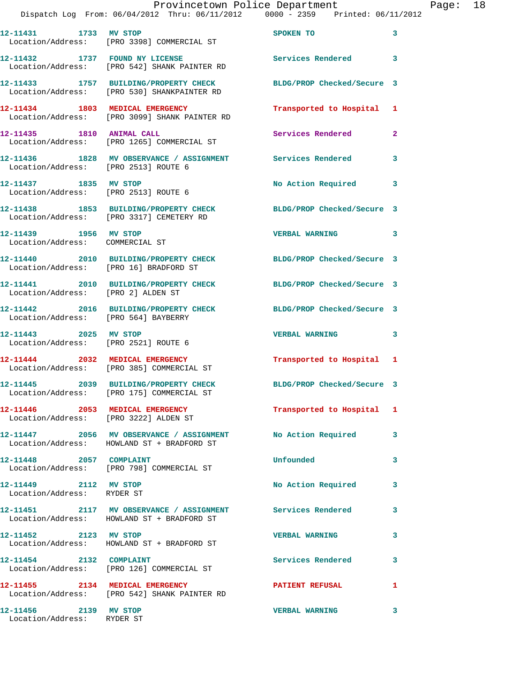|                                                     | Dispatch Log From: 06/04/2012 Thru: 06/11/2012 0000 - 2359 Printed: 06/11/2012                                    | Provincetown Police Department |   | Page: 18 |  |
|-----------------------------------------------------|-------------------------------------------------------------------------------------------------------------------|--------------------------------|---|----------|--|
|                                                     | 12-11431 1733 MV STOP<br>Location/Address: [PRO 3398] COMMERCIAL ST                                               | SPOKEN TO                      | 3 |          |  |
|                                                     | 12-11432 1737 FOUND NY LICENSE Services Rendered 3<br>Location/Address: [PRO 542] SHANK PAINTER RD                |                                |   |          |  |
|                                                     | 12-11433 1757 BUILDING/PROPERTY CHECK BLDG/PROP Checked/Secure 3<br>Location/Address: [PRO 530] SHANKPAINTER RD   |                                |   |          |  |
|                                                     | 12-11434 1803 MEDICAL EMERGENCY <b>Transported to Hospital</b> 1<br>Location/Address: [PRO 3099] SHANK PAINTER RD |                                |   |          |  |
|                                                     | 12-11435   1810   ANIMAL CALL<br>Location/Address: [PRO 1265] COMMERCIAL ST                                       | Services Rendered 2            |   |          |  |
| Location/Address: [PRO 2513] ROUTE 6                | 12-11436 1828 MV OBSERVANCE / ASSIGNMENT Services Rendered                                                        |                                | 3 |          |  |
| 12-11437 1835 MV STOP                               | Location/Address: [PRO 2513] ROUTE 6                                                                              | No Action Required 3           |   |          |  |
|                                                     | 12-11438 1853 BUILDING/PROPERTY CHECK BLDG/PROP Checked/Secure 3<br>Location/Address: [PRO 3317] CEMETERY RD      |                                |   |          |  |
| 12-11439   1956 MV STOP                             | Location/Address: COMMERCIAL ST                                                                                   | VERBAL WARNING 3               |   |          |  |
|                                                     | 12-11440 2010 BUILDING/PROPERTY CHECK BLDG/PROP Checked/Secure 3<br>Location/Address: [PRO 16] BRADFORD ST        |                                |   |          |  |
| Location/Address: [PRO 2] ALDEN ST                  | 12-11441 2010 BUILDING/PROPERTY CHECK BLDG/PROP Checked/Secure 3                                                  |                                |   |          |  |
| Location/Address: [PRO 564] BAYBERRY                | 12-11442 2016 BUILDING/PROPERTY CHECK BLDG/PROP Checked/Secure 3                                                  |                                |   |          |  |
| 12-11443 2025 MV STOP                               | Location/Address: [PRO 2521] ROUTE 6                                                                              | VERBAL WARNING 3               |   |          |  |
|                                                     | 12-11444 2032 MEDICAL EMERGENCY Transported to Hospital 1<br>Location/Address: [PRO 385] COMMERCIAL ST            |                                |   |          |  |
|                                                     | 12-11445 2039 BUILDING/PROPERTY CHECK<br>Location/Address: [PRO 175] COMMERCIAL ST                                | BLDG/PROP Checked/Secure 3     |   |          |  |
|                                                     | 12-11446 2053 MEDICAL EMERGENCY<br>Location/Address: [PRO 3222] ALDEN ST                                          | Transported to Hospital 1      |   |          |  |
|                                                     | 12-11447 2056 MV OBSERVANCE / ASSIGNMENT No Action Required 3<br>Location/Address: HOWLAND ST + BRADFORD ST       |                                |   |          |  |
|                                                     | 12-11448 2057 COMPLAINT<br>Location/Address: [PRO 798] COMMERCIAL ST                                              | Unfounded                      | 3 |          |  |
| 12-11449 2112 MV STOP<br>Location/Address: RYDER ST |                                                                                                                   | No Action Required 3           |   |          |  |
|                                                     | 12-11451 2117 MV OBSERVANCE / ASSIGNMENT Services Rendered<br>Location/Address: HOWLAND ST + BRADFORD ST          |                                | 3 |          |  |
| 12-11452 2123 MV STOP                               | Location/Address: HOWLAND ST + BRADFORD ST                                                                        | <b>VERBAL WARNING</b>          | 3 |          |  |
|                                                     | 12-11454 2132 COMPLAINT<br>Location/Address: [PRO 126] COMMERCIAL ST                                              | Services Rendered              | 3 |          |  |
|                                                     | 12-11455 2134 MEDICAL EMERGENCY<br>Location/Address: [PRO 542] SHANK PAINTER RD                                   | PATIENT REFUSAL                | 1 |          |  |
| 12-11456 2139 MV STOP<br>Location/Address: RYDER ST |                                                                                                                   | <b>VERBAL WARNING</b>          | 3 |          |  |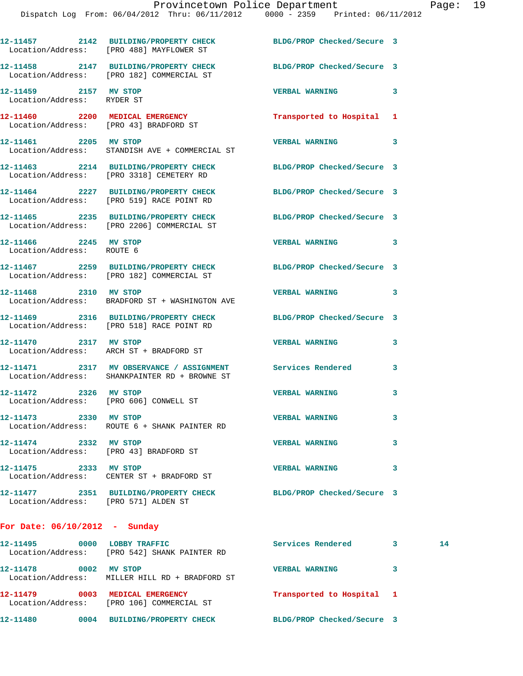|                                                                 | 12-11457 2142 BUILDING/PROPERTY CHECK BLDG/PROP Checked/Secure 3<br>Location/Address: [PRO 488] MAYFLOWER ST  |                            |                          |
|-----------------------------------------------------------------|---------------------------------------------------------------------------------------------------------------|----------------------------|--------------------------|
|                                                                 | 12-11458 2147 BUILDING/PROPERTY CHECK<br>Location/Address: [PRO 182] COMMERCIAL ST                            | BLDG/PROP Checked/Secure 3 |                          |
| 12-11459 2157 MV STOP<br>Location/Address: RYDER ST             |                                                                                                               | VERBAL WARNING 3           |                          |
| Location/Address: [PRO 43] BRADFORD ST                          | 12-11460 2200 MEDICAL EMERGENCY                                                                               | Transported to Hospital 1  |                          |
| 12-11461 2205 MV STOP                                           | Location/Address: STANDISH AVE + COMMERCIAL ST                                                                | VERBAL WARNING 3           |                          |
|                                                                 | 12-11463 2214 BUILDING/PROPERTY CHECK<br>Location/Address: [PRO 3318] CEMETERY RD                             | BLDG/PROP Checked/Secure 3 |                          |
|                                                                 | 12-11464 2227 BUILDING/PROPERTY CHECK<br>Location/Address: [PRO 519] RACE POINT RD                            | BLDG/PROP Checked/Secure 3 |                          |
|                                                                 | 12-11465 2235 BUILDING/PROPERTY CHECK<br>Location/Address: [PRO 2206] COMMERCIAL ST                           | BLDG/PROP Checked/Secure 3 |                          |
| 12-11466 2245 MV STOP<br>Location/Address: ROUTE 6              |                                                                                                               | <b>VERBAL WARNING</b>      | $\overline{\phantom{a}}$ |
|                                                                 | 12-11467 2259 BUILDING/PROPERTY CHECK<br>Location/Address: [PRO 182] COMMERCIAL ST                            | BLDG/PROP Checked/Secure 3 |                          |
| 12-11468 2310 MV STOP                                           | Location/Address: BRADFORD ST + WASHINGTON AVE                                                                | <b>VERBAL WARNING</b>      | 3                        |
|                                                                 | 12-11469 2316 BUILDING/PROPERTY CHECK<br>Location/Address: [PRO 518] RACE POINT RD                            | BLDG/PROP Checked/Secure 3 |                          |
| 12-11470 2317 MV STOP                                           | Location/Address: ARCH ST + BRADFORD ST                                                                       | <b>VERBAL WARNING</b>      | 3                        |
|                                                                 | 12-11471 2317 MV OBSERVANCE / ASSIGNMENT Services Rendered 3<br>Location/Address: SHANKPAINTER RD + BROWNE ST |                            |                          |
| 12-11472 2326 MV STOP                                           | Location/Address: [PRO 606] CONWELL ST                                                                        | <b>VERBAL WARNING</b>      | 3                        |
| 12-11473 2330 MV STOP                                           | Location/Address: ROUTE 6 + SHANK PAINTER RD                                                                  | <b>VERBAL WARNING</b>      | 3                        |
| 12-11474 2332 MV STOP<br>Location/Address: [PRO 43] BRADFORD ST |                                                                                                               | <b>VERBAL WARNING</b>      | 3                        |
| 12-11475 2333 MV STOP                                           | Location/Address: CENTER ST + BRADFORD ST                                                                     | <b>VERBAL WARNING</b>      | 3                        |
| Location/Address: [PRO 571] ALDEN ST                            | 12-11477 2351 BUILDING/PROPERTY CHECK                                                                         | BLDG/PROP Checked/Secure 3 |                          |
| For Date: $06/10/2012$ - Sunday                                 |                                                                                                               |                            |                          |

| 12-11495<br>0000<br>Location/Address: | LOBBY TRAFFIC<br>[PRO 542] SHANK PAINTER RD               | Services Rendered          |   | 14 |
|---------------------------------------|-----------------------------------------------------------|----------------------------|---|----|
| 12-11478<br>0002                      | MV STOP<br>Location/Address: MILLER HILL RD + BRADFORD ST | <b>VERBAL WARNING</b>      | 3 |    |
| 12-11479<br>0003<br>Location/Address: | MEDICAL EMERGENCY<br>[PRO 106] COMMERCIAL ST              | Transported to Hospital 1  |   |    |
| 12-11480<br>0004                      | <b>BUILDING/PROPERTY CHECK</b>                            | BLDG/PROP Checked/Secure 3 |   |    |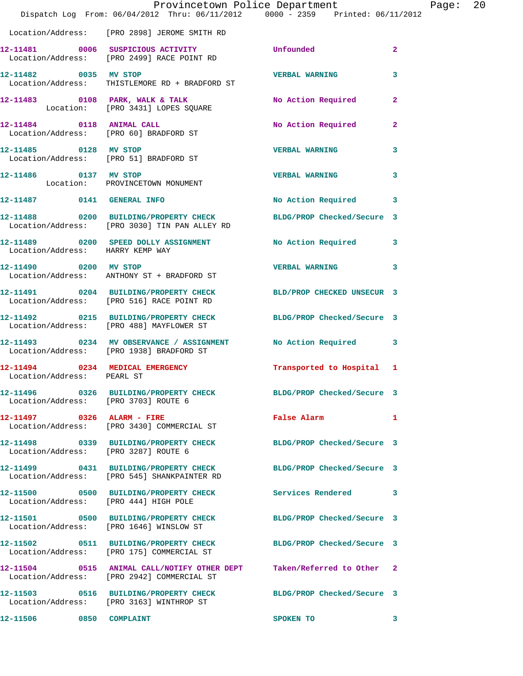|                                       | Dispatch Log From: 06/04/2012 Thru: 06/11/2012 0000 - 2359 Printed: 06/11/2012                                      | Provincetown Police Department |                | Page: | 20 |
|---------------------------------------|---------------------------------------------------------------------------------------------------------------------|--------------------------------|----------------|-------|----|
|                                       | Location/Address: [PRO 2898] JEROME SMITH RD                                                                        |                                |                |       |    |
|                                       | 12-11481 0006 SUSPICIOUS ACTIVITY Unfounded<br>Location/Address: [PRO 2499] RACE POINT RD                           |                                | $\overline{2}$ |       |    |
|                                       | 12-11482 0035 MV STOP<br>Location/Address: THISTLEMORE RD + BRADFORD ST                                             | <b>VERBAL WARNING</b>          | $\mathbf{3}$   |       |    |
|                                       | 12-11483 0108 PARK, WALK & TALK NO Action Required 2<br>Location: [PRO 3431] LOPES SQUARE                           |                                |                |       |    |
|                                       | 12-11484 0118 ANIMAL CALL<br>Location/Address: [PRO 60] BRADFORD ST                                                 | No Action Required 2           |                |       |    |
|                                       | 12-11485 0128 MV STOP<br>Location/Address: [PRO 51] BRADFORD ST                                                     | <b>VERBAL WARNING</b>          | $\mathbf{3}$   |       |    |
|                                       | 12-11486   0137 MV STOP<br>Location: PROVINCETOWN MONUMENT                                                          | <b>VERBAL WARNING</b>          | 3              |       |    |
|                                       | 12-11487 0141 GENERAL INFO                                                                                          | No Action Required 3           |                |       |    |
|                                       | 12-11488 0200 BUILDING/PROPERTY CHECK BLDG/PROP Checked/Secure 3<br>Location/Address: [PRO 3030] TIN PAN ALLEY RD   |                                |                |       |    |
|                                       | 12-11489 0200 SPEED DOLLY ASSIGNMENT No Action Required 3<br>Location/Address: HARRY KEMP WAY                       |                                |                |       |    |
|                                       | 12-11490 0200 MV STOP<br>Location/Address: ANTHONY ST + BRADFORD ST                                                 | VERBAL WARNING 3               |                |       |    |
|                                       | 12-11491 0204 BUILDING/PROPERTY CHECK BLD/PROP CHECKED UNSECUR 3<br>Location/Address: [PRO 516] RACE POINT RD       |                                |                |       |    |
|                                       | 12-11492 0215 BUILDING/PROPERTY CHECK BLDG/PROP Checked/Secure 3<br>Location/Address: [PRO 488] MAYFLOWER ST        |                                |                |       |    |
|                                       | 12-11493 0234 MV OBSERVANCE / ASSIGNMENT No Action Required 3<br>Location/Address: [PRO 1938] BRADFORD ST           |                                |                |       |    |
| Location/Address: PEARL ST            | 12-11494 0234 MEDICAL EMERGENCY                                                                                     | Transported to Hospital 1      |                |       |    |
|                                       | 12-11496 0326 BUILDING/PROPERTY CHECK BLDG/PROP Checked/Secure 3<br>Location/Address: [PRO 3703] ROUTE 6            |                                |                |       |    |
|                                       | 12-11497 0326 ALARM - FIRE<br>Location/Address: [PRO 3430] COMMERCIAL ST                                            | False Alarm 1                  |                |       |    |
| Location/Address: [PRO 3287] ROUTE 6  | 12-11498 0339 BUILDING/PROPERTY CHECK BLDG/PROP Checked/Secure 3                                                    |                                |                |       |    |
|                                       | 12-11499 0431 BUILDING/PROPERTY CHECK<br>Location/Address: [PRO 545] SHANKPAINTER RD                                | BLDG/PROP Checked/Secure 3     |                |       |    |
| Location/Address: [PRO 444] HIGH POLE | 12-11500 0500 BUILDING/PROPERTY CHECK Services Rendered 3                                                           |                                |                |       |    |
|                                       | 12-11501 0500 BUILDING/PROPERTY CHECK<br>Location/Address: [PRO 1646] WINSLOW ST                                    | BLDG/PROP Checked/Secure 3     |                |       |    |
|                                       | 12-11502 0511 BUILDING/PROPERTY CHECK BLDG/PROP Checked/Secure 3<br>Location/Address: [PRO 175] COMMERCIAL ST       |                                |                |       |    |
|                                       | 12-11504 0515 ANIMAL CALL/NOTIFY OTHER DEPT Taken/Referred to Other 2<br>Location/Address: [PRO 2942] COMMERCIAL ST |                                |                |       |    |
|                                       | 12-11503 0516 BUILDING/PROPERTY CHECK BLDG/PROP Checked/Secure 3<br>Location/Address: [PRO 3163] WINTHROP ST        |                                |                |       |    |
| 12-11506 0850 COMPLAINT               |                                                                                                                     | SPOKEN TO                      | $\sim$ 3       |       |    |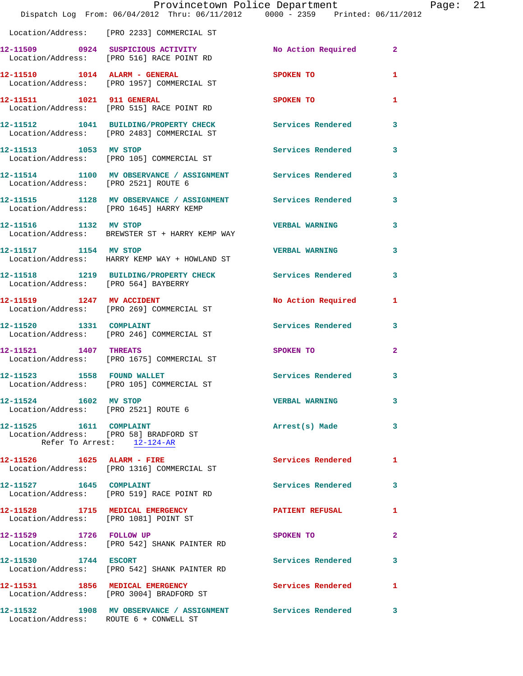|                                        | Dispatch Log From: 06/04/2012 Thru: 06/11/2012 0000 - 2359 Printed: 06/11/2012                          | Provincetown Police Department |              | Page: | 21 |
|----------------------------------------|---------------------------------------------------------------------------------------------------------|--------------------------------|--------------|-------|----|
|                                        | Location/Address: [PRO 2233] COMMERCIAL ST                                                              |                                |              |       |    |
|                                        | 12-11509 0924 SUSPICIOUS ACTIVITY<br>Location/Address: [PRO 516] RACE POINT RD                          | No Action Required 2           |              |       |    |
|                                        | 12-11510    1014    ALARM - GENERAL<br>Location/Address: [PRO 1957] COMMERCIAL ST                       | <b>SPOKEN TO</b>               | 1            |       |    |
|                                        | 12-11511 1021 911 GENERAL<br>Location/Address: [PRO 515] RACE POINT RD                                  | <b>SPOKEN TO</b>               | 1            |       |    |
|                                        | 12-11512 1041 BUILDING/PROPERTY CHECK Services Rendered<br>Location/Address: [PRO 2483] COMMERCIAL ST   |                                | 3            |       |    |
| 12-11513 1053 MV STOP                  | Location/Address: [PRO 105] COMMERCIAL ST                                                               | Services Rendered 3            |              |       |    |
| Location/Address: [PRO 2521] ROUTE 6   | 12-11514 1100 MV OBSERVANCE / ASSIGNMENT Services Rendered                                              |                                | 3            |       |    |
|                                        | 12-11515 1128 MV OBSERVANCE / ASSIGNMENT Services Rendered 3<br>Location/Address: [PRO 1645] HARRY KEMP |                                |              |       |    |
|                                        | 12-11516 1132 MV STOP<br>Location/Address: BREWSTER ST + HARRY KEMP WAY                                 | <b>VERBAL WARNING</b>          | 3            |       |    |
| 12-11517 1154 MV STOP                  | Location/Address: HARRY KEMP WAY + HOWLAND ST                                                           | <b>VERBAL WARNING</b>          | 3            |       |    |
|                                        | 12-11518 1219 BUILDING/PROPERTY CHECK Services Rendered<br>Location/Address: [PRO 564] BAYBERRY         |                                | 3            |       |    |
| 12-11519 1247 MV ACCIDENT              | Location/Address: [PRO 269] COMMERCIAL ST                                                               | No Action Required             | 1            |       |    |
|                                        | 12-11520 1331 COMPLAINT<br>Location/Address: [PRO 246] COMMERCIAL ST                                    | Services Rendered              | $\mathbf{3}$ |       |    |
| 12-11521 1407 THREATS                  | Location/Address: [PRO 1675] COMMERCIAL ST                                                              | SPOKEN TO                      | $\mathbf{2}$ |       |    |
| 12-11523 1558 FOUND WALLET             | Location/Address: [PRO 105] COMMERCIAL ST                                                               | Services Rendered              | 3            |       |    |
| 12-11524 1602 MV STOP                  | Location/Address: [PRO 2521] ROUTE 6                                                                    | <b>VERBAL WARNING</b>          | 3            |       |    |
| Location/Address: [PRO 58] BRADFORD ST | 12-11525 1611 COMPLAINT<br>Refer To Arrest: 12-124-AR                                                   | Arrest(s) Made                 | 3            |       |    |
|                                        | 12-11526    1625    ALARM - FIRE<br>Location/Address: [PRO 1316] COMMERCIAL ST                          | Services Rendered              | $\mathbf{1}$ |       |    |
|                                        | 12-11527 1645 COMPLAINT<br>Location/Address: [PRO 519] RACE POINT RD                                    | Services Rendered 3            |              |       |    |
|                                        | 12-11528 1715 MEDICAL EMERGENCY<br>Location/Address: [PRO 1081] POINT ST                                | PATIENT REFUSAL                | 1            |       |    |
|                                        | 12-11529 1726 FOLLOW UP<br>Location/Address: [PRO 542] SHANK PAINTER RD                                 | SPOKEN TO                      | $\mathbf{2}$ |       |    |
| 12-11530 1744 ESCORT                   | Location/Address: [PRO 542] SHANK PAINTER RD                                                            | Services Rendered              | 3            |       |    |
|                                        | 12-11531 1856 MEDICAL EMERGENCY<br>Location/Address: [PRO 3004] BRADFORD ST                             | <b>Services Rendered</b> 1     |              |       |    |
| Location/Address: ROUTE 6 + CONWELL ST | 12-11532 1908 MV OBSERVANCE / ASSIGNMENT Services Rendered                                              |                                | 3            |       |    |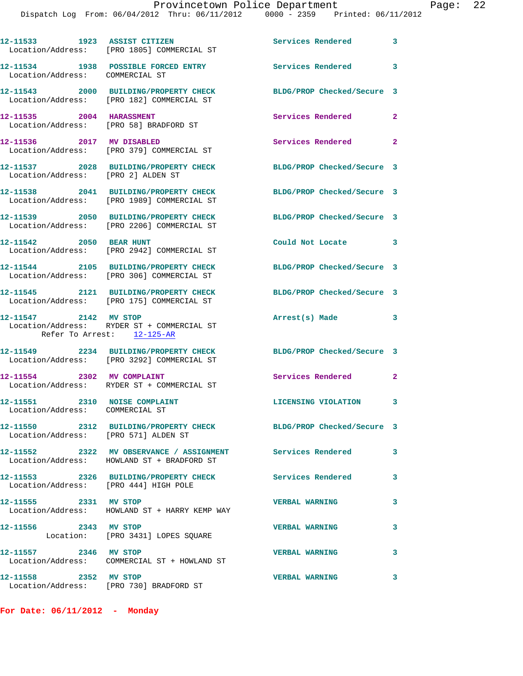|                                                                  | 12-11533 1923 ASSIST CITIZEN<br>Location/Address: [PRO 1805] COMMERCIAL ST                               | <b>Services Rendered</b>                       | $\overline{\phantom{a}}$ 3 |
|------------------------------------------------------------------|----------------------------------------------------------------------------------------------------------|------------------------------------------------|----------------------------|
| Location/Address: COMMERCIAL ST                                  | 12-11534 1938 POSSIBLE FORCED ENTRY                                                                      | Services Rendered 3                            |                            |
|                                                                  | 12-11543 2000 BUILDING/PROPERTY CHECK<br>Location/Address: [PRO 182] COMMERCIAL ST                       | BLDG/PROP Checked/Secure 3                     |                            |
| 12-11535 2004 HARASSMENT                                         | Location/Address: [PRO 58] BRADFORD ST                                                                   | Services Rendered                              | $\mathbf{2}$               |
| 12-11536 2017 MV DISABLED                                        | Location/Address: [PRO 379] COMMERCIAL ST                                                                | Services Rendered                              | $\mathbf{2}$               |
| Location/Address: [PRO 2] ALDEN ST                               | 12-11537 2028 BUILDING/PROPERTY CHECK                                                                    | BLDG/PROP Checked/Secure 3                     |                            |
|                                                                  | 12-11538 2041 BUILDING/PROPERTY CHECK<br>Location/Address: [PRO 1989] COMMERCIAL ST                      | BLDG/PROP Checked/Secure 3                     |                            |
|                                                                  | 12-11539 2050 BUILDING/PROPERTY CHECK<br>Location/Address: [PRO 2206] COMMERCIAL ST                      | BLDG/PROP Checked/Secure 3                     |                            |
| 12-11542 2050 BEAR HUNT                                          | Location/Address: [PRO 2942] COMMERCIAL ST                                                               | Could Not Locate<br>$\overline{\phantom{a}}$ 3 |                            |
|                                                                  | 12-11544 2105 BUILDING/PROPERTY CHECK<br>Location/Address: [PRO 306] COMMERCIAL ST                       | BLDG/PROP Checked/Secure 3                     |                            |
|                                                                  | 12-11545 2121 BUILDING/PROPERTY CHECK<br>Location/Address: [PRO 175] COMMERCIAL ST                       | BLDG/PROP Checked/Secure 3                     |                            |
| 12-11547 2142 MV STOP<br>Refer To Arrest: 12-125-AR              | Location/Address: RYDER ST + COMMERCIAL ST                                                               | $\sim$ $\sim$ $\sim$ 3<br>Arrest(s) Made       |                            |
|                                                                  | 12-11549 2234 BUILDING/PROPERTY CHECK<br>Location/Address: [PRO 3292] COMMERCIAL ST                      | BLDG/PROP Checked/Secure 3                     |                            |
|                                                                  | 12-11554 2302 MV COMPLAINT<br>Location/Address: RYDER ST + COMMERCIAL ST                                 | Services Rendered                              | $\mathbf{2}$               |
| 12-11551 2310 NOISE COMPLAINT<br>Location/Address: COMMERCIAL ST |                                                                                                          | LICENSING VIOLATION 3                          |                            |
| Location/Address: [PRO 571] ALDEN ST                             | 12-11550 2312 BUILDING/PROPERTY CHECK                                                                    | BLDG/PROP Checked/Secure 3                     |                            |
|                                                                  | 12-11552 2322 MV OBSERVANCE / ASSIGNMENT Services Rendered<br>Location/Address: HOWLAND ST + BRADFORD ST |                                                | 3                          |
| Location/Address: [PRO 444] HIGH POLE                            | 12-11553 2326 BUILDING/PROPERTY CHECK                                                                    | Services Rendered                              | 3                          |
| 12-11555 2331 MV STOP                                            | Location/Address: HOWLAND ST + HARRY KEMP WAY                                                            | <b>VERBAL WARNING</b>                          | 3                          |
| 12-11556 2343 MV STOP                                            | Location: [PRO 3431] LOPES SQUARE                                                                        | <b>VERBAL WARNING</b>                          | 3                          |
| 12-11557 2346 MV STOP                                            | Location/Address: COMMERCIAL ST + HOWLAND ST                                                             | <b>VERBAL WARNING</b>                          | 3                          |
| 12-11558 2352 MV STOP                                            |                                                                                                          | <b>VERBAL WARNING</b>                          | 3                          |

**For Date: 06/11/2012 - Monday**

Location/Address: [PRO 730] BRADFORD ST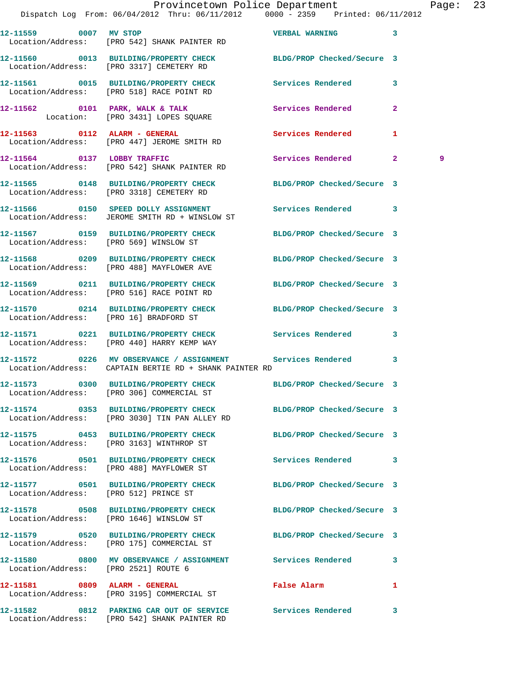| 12-11559 0007 MV STOP                  | Location/Address: [PRO 542] SHANK PAINTER RD                                                                         | <b>VERBAL WARNING</b>      | 3                 |
|----------------------------------------|----------------------------------------------------------------------------------------------------------------------|----------------------------|-------------------|
|                                        | 12-11560 0013 BUILDING/PROPERTY CHECK<br>Location/Address: [PRO 3317] CEMETERY RD                                    | BLDG/PROP Checked/Secure 3 |                   |
|                                        | 12-11561 0015 BUILDING/PROPERTY CHECK<br>Location/Address: [PRO 518] RACE POINT RD                                   | <b>Services Rendered</b>   | 3                 |
|                                        | 12-11562 0101 PARK, WALK & TALK<br>Location: [PRO 3431] LOPES SQUARE                                                 | Services Rendered          | $\overline{a}$    |
|                                        | 12-11563 0112 ALARM - GENERAL<br>Location/Address: [PRO 447] JEROME SMITH RD                                         | Services Rendered          | 1                 |
|                                        | 12-11564 0137 LOBBY TRAFFIC<br>Location/Address: [PRO 542] SHANK PAINTER RD                                          | Services Rendered          | $\mathbf{2}$<br>9 |
|                                        | 12-11565 0148 BUILDING/PROPERTY CHECK BLDG/PROP Checked/Secure 3<br>Location/Address: [PRO 3318] CEMETERY RD         |                            |                   |
|                                        | Location/Address: JEROME SMITH RD + WINSLOW ST                                                                       |                            | 3                 |
| Location/Address: [PRO 569] WINSLOW ST | 12-11567 0159 BUILDING/PROPERTY CHECK                                                                                | BLDG/PROP Checked/Secure 3 |                   |
|                                        | 12-11568 0209 BUILDING/PROPERTY CHECK<br>Location/Address: [PRO 488] MAYFLOWER AVE                                   | BLDG/PROP Checked/Secure 3 |                   |
|                                        | 12-11569 0211 BUILDING/PROPERTY CHECK BLDG/PROP Checked/Secure 3<br>Location/Address: [PRO 516] RACE POINT RD        |                            |                   |
|                                        | 12-11570 0214 BUILDING/PROPERTY CHECK BLDG/PROP Checked/Secure 3<br>Location/Address: [PRO 16] BRADFORD ST           |                            |                   |
|                                        | 12-11571 0221 BUILDING/PROPERTY CHECK<br>Location/Address: [PRO 440] HARRY KEMP WAY                                  | Services Rendered          | 3                 |
|                                        | 12-11572 0226 MV OBSERVANCE / ASSIGNMENT Services Rendered<br>Location/Address: CAPTAIN BERTIE RD + SHANK PAINTER RD |                            | 3                 |
|                                        | 12-11573 0300 BUILDING/PROPERTY CHECK BLDG/PROP Checked/Secure 3<br>Location/Address: [PRO 306] COMMERCIAL ST        |                            |                   |
|                                        | 12-11574 0353 BUILDING/PROPERTY CHECK BLDG/PROP Checked/Secure 3<br>Location/Address: [PRO 3030] TIN PAN ALLEY RD    |                            |                   |
|                                        | 12-11575 0453 BUILDING/PROPERTY CHECK BLDG/PROP Checked/Secure 3<br>Location/Address: [PRO 3163] WINTHROP ST         |                            |                   |
|                                        | 12-11576 0501 BUILDING/PROPERTY CHECK<br>Location/Address: [PRO 488] MAYFLOWER ST                                    | Services Rendered          | 3                 |
| Location/Address: [PRO 512] PRINCE ST  | 12-11577 0501 BUILDING/PROPERTY CHECK                                                                                | BLDG/PROP Checked/Secure 3 |                   |
|                                        | 12-11578 0508 BUILDING/PROPERTY CHECK<br>Location/Address: [PRO 1646] WINSLOW ST                                     | BLDG/PROP Checked/Secure 3 |                   |
|                                        | 12-11579 0520 BUILDING/PROPERTY CHECK<br>Location/Address: [PRO 175] COMMERCIAL ST                                   | BLDG/PROP Checked/Secure 3 |                   |
| Location/Address: [PRO 2521] ROUTE 6   | 12-11580 0800 MV OBSERVANCE / ASSIGNMENT Services Rendered                                                           |                            | 3                 |
|                                        | 12-11581 0809 ALARM - GENERAL<br>Location/Address: [PRO 3195] COMMERCIAL ST                                          | False Alarm                | 1                 |
|                                        | 12-11582 0812 PARKING CAR OUT OF SERVICE Services Rendered                                                           |                            | 3                 |

Location/Address: [PRO 542] SHANK PAINTER RD